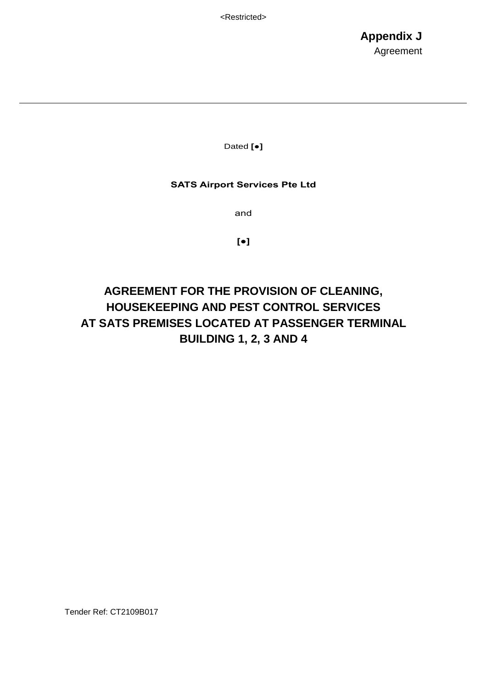Dated **[●]**

# **SATS Airport Services Pte Ltd**

and

**[●]**

# **AGREEMENT FOR THE PROVISION OF CLEANING, HOUSEKEEPING AND PEST CONTROL SERVICES AT SATS PREMISES LOCATED AT PASSENGER TERMINAL BUILDING 1, 2, 3 AND 4**

Tender Ref: CT2109B017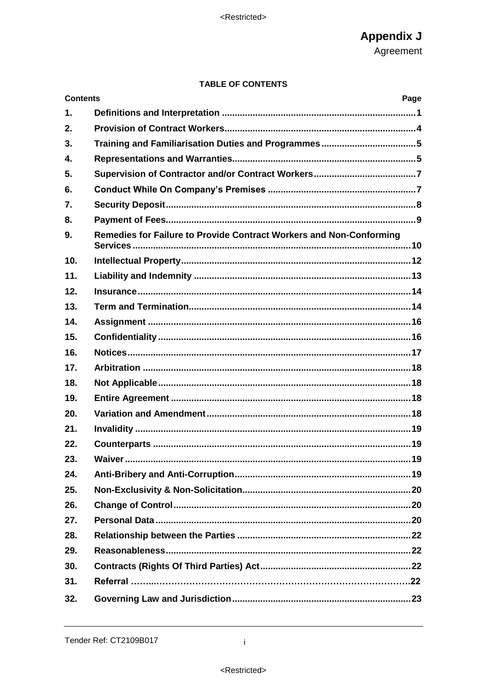## **TABLE OF CONTENTS**

| <b>Contents</b> | Page                                                                       |
|-----------------|----------------------------------------------------------------------------|
| $\mathbf 1$ .   |                                                                            |
| 2.              |                                                                            |
| 3.              |                                                                            |
| 4.              |                                                                            |
| 5.              |                                                                            |
| 6.              |                                                                            |
| 7.              |                                                                            |
| 8.              |                                                                            |
| 9.              | <b>Remedies for Failure to Provide Contract Workers and Non-Conforming</b> |
| 10.             |                                                                            |
| 11.             |                                                                            |
| 12.             |                                                                            |
| 13.             |                                                                            |
| 14.             |                                                                            |
| 15.             |                                                                            |
| 16.             |                                                                            |
| 17.             |                                                                            |
| 18.             |                                                                            |
| 19.             |                                                                            |
| 20.             |                                                                            |
| 21.             |                                                                            |
| 22.             |                                                                            |
| 23.             | Waiver.<br>19                                                              |
| 24.             |                                                                            |
| 25.             |                                                                            |
| 26.             |                                                                            |
| 27.             |                                                                            |
| 28.             |                                                                            |
| 29.             |                                                                            |
| 30.             |                                                                            |
| 31.             |                                                                            |
| 32.             |                                                                            |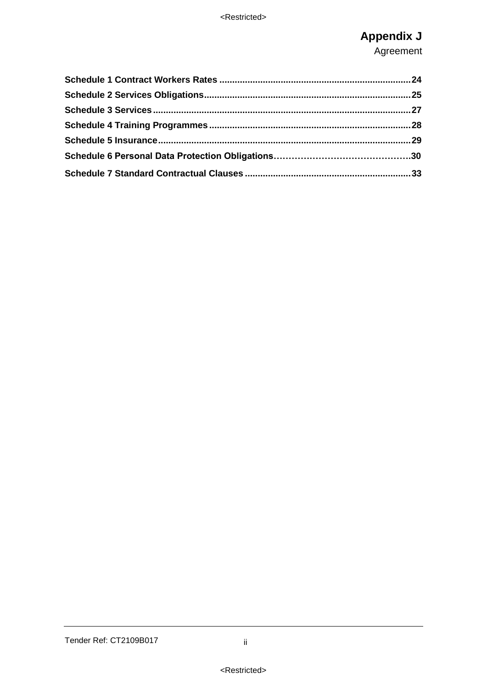# **Appendix J**

Agreement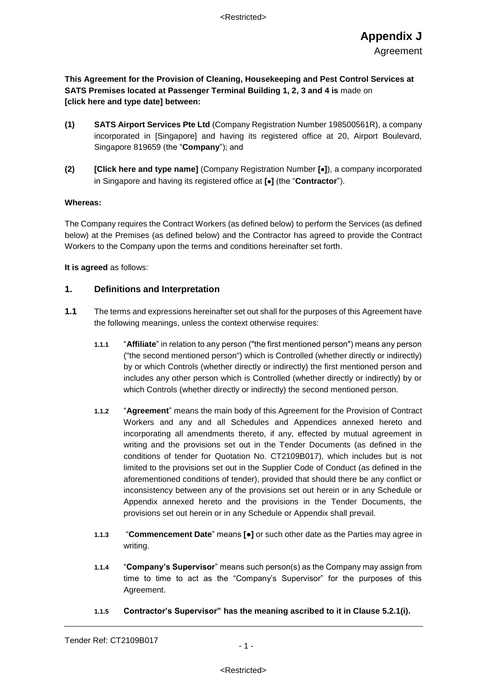## **This Agreement for the Provision of Cleaning, Housekeeping and Pest Control Services at SATS Premises located at Passenger Terminal Building 1, 2, 3 and 4 is** made on **[click here and type date] between:**

- **(1) SATS Airport Services Pte Ltd** (Company Registration Number 198500561R), a company incorporated in [Singapore] and having its registered office at 20, Airport Boulevard, Singapore 819659 (the "**Company**"); and
- **(2) [Click here and type name]** (Company Registration Number **[**•**]**), a company incorporated in Singapore and having its registered office at **[**•**]** (the "**Contractor**").

#### **Whereas:**

The Company requires the Contract Workers (as defined below) to perform the Services (as defined below) at the Premises (as defined below) and the Contractor has agreed to provide the Contract Workers to the Company upon the terms and conditions hereinafter set forth.

#### **It is agreed** as follows:

## **1. Definitions and Interpretation**

- **1.1** The terms and expressions hereinafter set out shall for the purposes of this Agreement have the following meanings, unless the context otherwise requires:
	- **1.1.1** "**Affiliate**" in relation to any person ("the first mentioned person") means any person ("the second mentioned person") which is Controlled (whether directly or indirectly) by or which Controls (whether directly or indirectly) the first mentioned person and includes any other person which is Controlled (whether directly or indirectly) by or which Controls (whether directly or indirectly) the second mentioned person.
	- **1.1.2** "**Agreement**" means the main body of this Agreement for the Provision of Contract Workers and any and all Schedules and Appendices annexed hereto and incorporating all amendments thereto, if any, effected by mutual agreement in writing and the provisions set out in the Tender Documents (as defined in the conditions of tender for Quotation No. CT2109B017), which includes but is not limited to the provisions set out in the Supplier Code of Conduct (as defined in the aforementioned conditions of tender), provided that should there be any conflict or inconsistency between any of the provisions set out herein or in any Schedule or Appendix annexed hereto and the provisions in the Tender Documents, the provisions set out herein or in any Schedule or Appendix shall prevail.
	- **1.1.3** "**Commencement Date**" means **[●]** or such other date as the Parties may agree in writing.
	- **1.1.4** "**Company's Supervisor**" means such person(s) as the Company may assign from time to time to act as the "Company's Supervisor" for the purposes of this Agreement.
	- **1.1.5 Contractor's Supervisor" has the meaning ascribed to it in Clause [5.2.1\(i\).](#page-9-0)**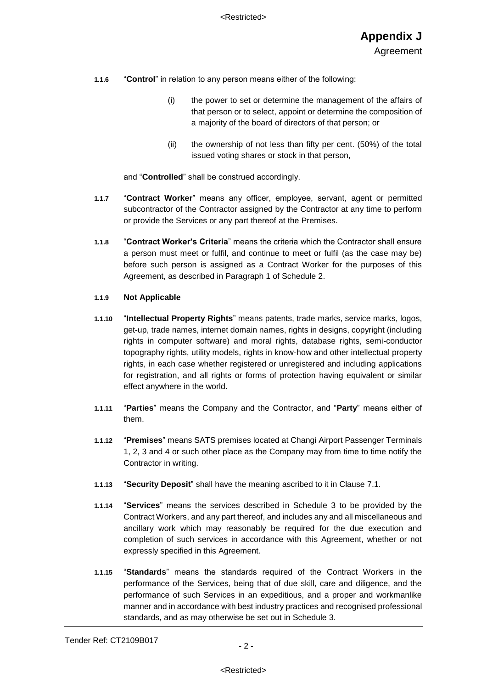- **1.1.6** "**Control**" in relation to any person means either of the following:
	- (i) the power to set or determine the management of the affairs of that person or to select, appoint or determine the composition of a majority of the board of directors of that person; or
	- (ii) the ownership of not less than fifty per cent. (50%) of the total issued voting shares or stock in that person,

and "**Controlled**" shall be construed accordingly.

- **1.1.7** "**Contract Worker**" means any officer, employee, servant, agent or permitted subcontractor of the Contractor assigned by the Contractor at any time to perform or provide the Services or any part thereof at the Premises.
- **1.1.8** "**Contract Worker's Criteria**" means the criteria which the Contractor shall ensure a person must meet or fulfil, and continue to meet or fulfil (as the case may be) before such person is assigned as a Contract Worker for the purposes of this Agreement, as described in Paragraph [1](#page-26-0) of [Schedule 2.](#page-26-1)

#### **1.1.9 Not Applicable**

- **1.1.10** "**Intellectual Property Rights**" means patents, trade marks, service marks, logos, get-up, trade names, internet domain names, rights in designs, copyright (including rights in computer software) and moral rights, database rights, semi-conductor topography rights, utility models, rights in know-how and other intellectual property rights, in each case whether registered or unregistered and including applications for registration, and all rights or forms of protection having equivalent or similar effect anywhere in the world.
- **1.1.11** "**Parties**" means the Company and the Contractor, and "**Party**" means either of them.
- **1.1.12** "**Premises**" means SATS premises located at Changi Airport Passenger Terminals 1, 2, 3 and 4 or such other place as the Company may from time to time notify the Contractor in writing.
- **1.1.13** "**Security Deposit**" shall have the meaning ascribed to it in Clause [7.1.](#page-10-0)
- **1.1.14** "**Services**" means the services described in [Schedule 3](#page-28-0) to be provided by the Contract Workers, and any part thereof, and includes any and all miscellaneous and ancillary work which may reasonably be required for the due execution and completion of such services in accordance with this Agreement, whether or not expressly specified in this Agreement.
- **1.1.15** "**Standards**" means the standards required of the Contract Workers in the performance of the Services, being that of due skill, care and diligence, and the performance of such Services in an expeditious, and a proper and workmanlike manner and in accordance with best industry practices and recognised professional standards, and as may otherwise be set out in [Schedule 3.](#page-28-0)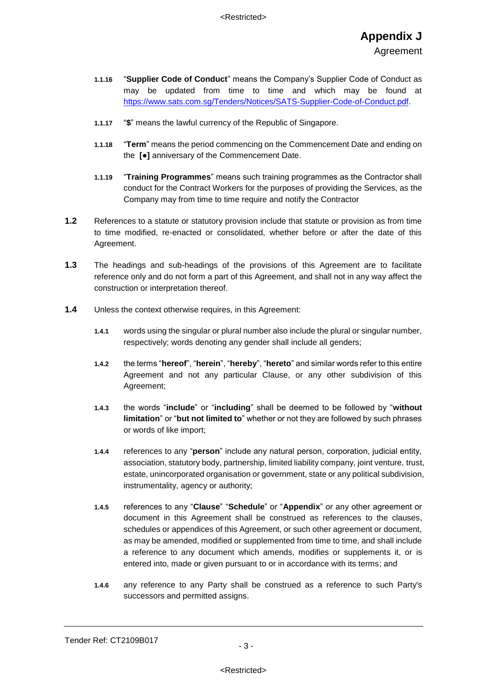- **1.1.16** "**Supplier Code of Conduct**" means the Company's Supplier Code of Conduct as may be updated from time to time and which may be found at [https://www.sats.com.sg/Tenders/Notices/SATS-Supplier-Code-of-Conduct.pdf.](https://www.sats.com.sg/Tenders/Notices/SATS-Supplier-Code-of-Conduct.pdf)
- **1.1.17** "**\$**" means the lawful currency of the Republic of Singapore.
- **1.1.18** "**Term**" means the period commencing on the Commencement Date and ending on the **[●]** anniversary of the Commencement Date.
- **1.1.19** "**Training Programmes**" means such training programmes as the Contractor shall conduct for the Contract Workers for the purposes of providing the Services, as the Company may from time to time require and notify the Contractor
- **1.2** References to a statute or statutory provision include that statute or provision as from time to time modified, re-enacted or consolidated, whether before or after the date of this Agreement.
- **1.3** The headings and sub-headings of the provisions of this Agreement are to facilitate reference only and do not form a part of this Agreement, and shall not in any way affect the construction or interpretation thereof.
- **1.4** Unless the context otherwise requires, in this Agreement:
	- **1.4.1** words using the singular or plural number also include the plural or singular number, respectively; words denoting any gender shall include all genders;
	- **1.4.2** the terms "**hereof**", "**herein**", "**hereby**", "**hereto**" and similar words refer to this entire Agreement and not any particular Clause, or any other subdivision of this Agreement;
	- **1.4.3** the words "**include**" or "**including**" shall be deemed to be followed by "**without limitation**" or "**but not limited to**" whether or not they are followed by such phrases or words of like import;
	- **1.4.4** references to any "**person**" include any natural person, corporation, judicial entity, association, statutory body, partnership, limited liability company, joint venture, trust, estate, unincorporated organisation or government, state or any political subdivision, instrumentality, agency or authority;
	- **1.4.5** references to any "**Clause**" "**Schedule**" or "**Appendix**" or any other agreement or document in this Agreement shall be construed as references to the clauses, schedules or appendices of this Agreement, or such other agreement or document, as may be amended, modified or supplemented from time to time, and shall include a reference to any document which amends, modifies or supplements it, or is entered into, made or given pursuant to or in accordance with its terms; and
	- **1.4.6** any reference to any Party shall be construed as a reference to such Party's successors and permitted assigns.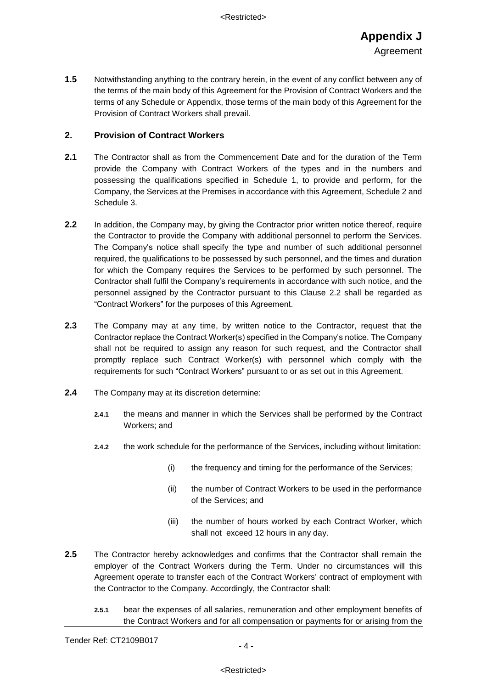**1.5** Notwithstanding anything to the contrary herein, in the event of any conflict between any of the terms of the main body of this Agreement for the Provision of Contract Workers and the terms of any Schedule or Appendix, those terms of the main body of this Agreement for the Provision of Contract Workers shall prevail.

## **2. Provision of Contract Workers**

- **2.1** The Contractor shall as from the Commencement Date and for the duration of the Term provide the Company with Contract Workers of the types and in the numbers and possessing the qualifications specified in [Schedule 1,](#page-25-0) to provide and perform, for the Company, the Services at the Premises in accordance with this Agreement, [Schedule 2](#page-26-1) and [Schedule 3.](#page-28-0)
- <span id="page-6-0"></span>**2.2** In addition, the Company may, by giving the Contractor prior written notice thereof, require the Contractor to provide the Company with additional personnel to perform the Services. The Company's notice shall specify the type and number of such additional personnel required, the qualifications to be possessed by such personnel, and the times and duration for which the Company requires the Services to be performed by such personnel. The Contractor shall fulfil the Company's requirements in accordance with such notice, and the personnel assigned by the Contractor pursuant to this Clause [2.2](#page-6-0) shall be regarded as "Contract Workers" for the purposes of this Agreement.
- **2.3** The Company may at any time, by written notice to the Contractor, request that the Contractor replace the Contract Worker(s) specified in the Company's notice. The Company shall not be required to assign any reason for such request, and the Contractor shall promptly replace such Contract Worker(s) with personnel which comply with the requirements for such "Contract Workers" pursuant to or as set out in this Agreement.
- **2.4** The Company may at its discretion determine:
	- **2.4.1** the means and manner in which the Services shall be performed by the Contract Workers; and
	- **2.4.2** the work schedule for the performance of the Services, including without limitation:
		- (i) the frequency and timing for the performance of the Services;
		- (ii) the number of Contract Workers to be used in the performance of the Services; and
		- (iii) the number of hours worked by each Contract Worker, which shall not exceed 12 hours in any day.
- **2.5** The Contractor hereby acknowledges and confirms that the Contractor shall remain the employer of the Contract Workers during the Term. Under no circumstances will this Agreement operate to transfer each of the Contract Workers' contract of employment with the Contractor to the Company. Accordingly, the Contractor shall:
	- **2.5.1** bear the expenses of all salaries, remuneration and other employment benefits of the Contract Workers and for all compensation or payments for or arising from the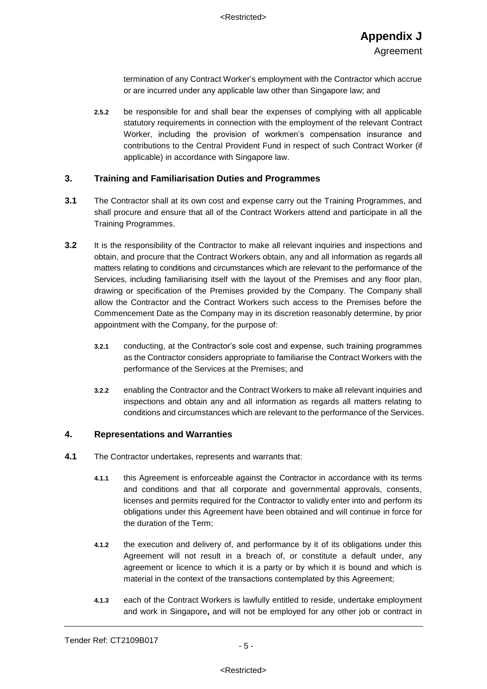termination of any Contract Worker's employment with the Contractor which accrue or are incurred under any applicable law other than Singapore law; and

**2.5.2** be responsible for and shall bear the expenses of complying with all applicable statutory requirements in connection with the employment of the relevant Contract Worker, including the provision of workmen's compensation insurance and contributions to the Central Provident Fund in respect of such Contract Worker (if applicable) in accordance with Singapore law.

## **3. Training and Familiarisation Duties and Programmes**

- **3.1** The Contractor shall at its own cost and expense carry out the Training Programmes, and shall procure and ensure that all of the Contract Workers attend and participate in all the Training Programmes.
- **3.2** It is the responsibility of the Contractor to make all relevant inquiries and inspections and obtain, and procure that the Contract Workers obtain, any and all information as regards all matters relating to conditions and circumstances which are relevant to the performance of the Services, including familiarising itself with the layout of the Premises and any floor plan, drawing or specification of the Premises provided by the Company. The Company shall allow the Contractor and the Contract Workers such access to the Premises before the Commencement Date as the Company may in its discretion reasonably determine, by prior appointment with the Company, for the purpose of:
	- **3.2.1** conducting, at the Contractor's sole cost and expense, such training programmes as the Contractor considers appropriate to familiarise the Contract Workers with the performance of the Services at the Premises; and
	- **3.2.2** enabling the Contractor and the Contract Workers to make all relevant inquiries and inspections and obtain any and all information as regards all matters relating to conditions and circumstances which are relevant to the performance of the Services.

## **4. Representations and Warranties**

- <span id="page-7-0"></span>**4.1** The Contractor undertakes, represents and warrants that:
	- **4.1.1** this Agreement is enforceable against the Contractor in accordance with its terms and conditions and that all corporate and governmental approvals, consents, licenses and permits required for the Contractor to validly enter into and perform its obligations under this Agreement have been obtained and will continue in force for the duration of the Term;
	- **4.1.2** the execution and delivery of, and performance by it of its obligations under this Agreement will not result in a breach of, or constitute a default under, any agreement or licence to which it is a party or by which it is bound and which is material in the context of the transactions contemplated by this Agreement;
	- **4.1.3** each of the Contract Workers is lawfully entitled to reside, undertake employment and work in Singapore**,** and will not be employed for any other job or contract in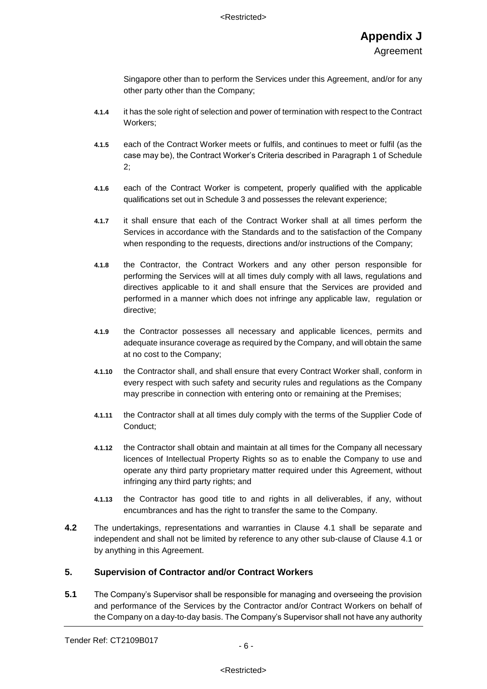Singapore other than to perform the Services under this Agreement, and/or for any other party other than the Company;

- **4.1.4** it has the sole right of selection and power of termination with respect to the Contract Workers;
- **4.1.5** each of the Contract Worker meets or fulfils, and continues to meet or fulfil (as the case may be), the Contract Worker's Criteria described in Paragraph [1](#page-26-0) of [Schedule](#page-26-1)  [2;](#page-26-1)
- **4.1.6** each of the Contract Worker is competent, properly qualified with the applicable qualifications set out in Schedule 3 and possesses the relevant experience;
- **4.1.7** it shall ensure that each of the Contract Worker shall at all times perform the Services in accordance with the Standards and to the satisfaction of the Company when responding to the requests, directions and/or instructions of the Company;
- **4.1.8** the Contractor, the Contract Workers and any other person responsible for performing the Services will at all times duly comply with all laws, regulations and directives applicable to it and shall ensure that the Services are provided and performed in a manner which does not infringe any applicable law, regulation or directive;
- **4.1.9** the Contractor possesses all necessary and applicable licences, permits and adequate insurance coverage as required by the Company, and will obtain the same at no cost to the Company;
- **4.1.10** the Contractor shall, and shall ensure that every Contract Worker shall, conform in every respect with such safety and security rules and regulations as the Company may prescribe in connection with entering onto or remaining at the Premises;
- **4.1.11** the Contractor shall at all times duly comply with the terms of the Supplier Code of Conduct;
- **4.1.12** the Contractor shall obtain and maintain at all times for the Company all necessary licences of Intellectual Property Rights so as to enable the Company to use and operate any third party proprietary matter required under this Agreement, without infringing any third party rights; and
- **4.1.13** the Contractor has good title to and rights in all deliverables, if any, without encumbrances and has the right to transfer the same to the Company.
- **4.2** The undertakings, representations and warranties in Clause [4.1](#page-7-0) shall be separate and independent and shall not be limited by reference to any other sub-clause of Clause [4.1](#page-7-0) or by anything in this Agreement.

## **5. Supervision of Contractor and/or Contract Workers**

<span id="page-8-0"></span>**5.1** The Company's Supervisor shall be responsible for managing and overseeing the provision and performance of the Services by the Contractor and/or Contract Workers on behalf of the Company on a day-to-day basis. The Company's Supervisor shall not have any authority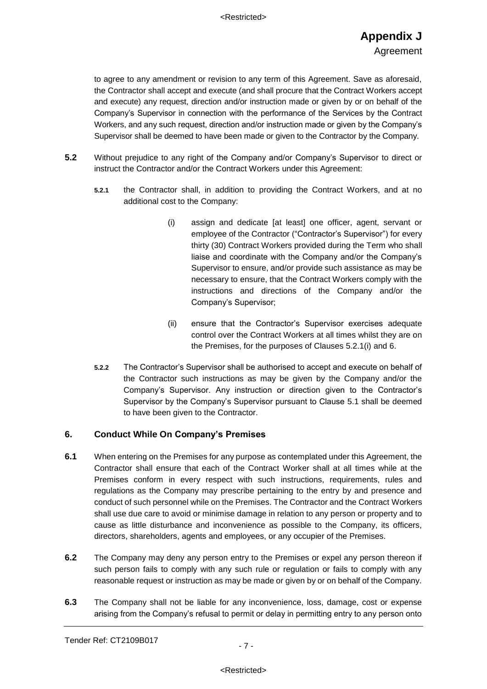to agree to any amendment or revision to any term of this Agreement. Save as aforesaid, the Contractor shall accept and execute (and shall procure that the Contract Workers accept and execute) any request, direction and/or instruction made or given by or on behalf of the Company's Supervisor in connection with the performance of the Services by the Contract Workers, and any such request, direction and/or instruction made or given by the Company's Supervisor shall be deemed to have been made or given to the Contractor by the Company.

- <span id="page-9-0"></span>**5.2** Without prejudice to any right of the Company and/or Company's Supervisor to direct or instruct the Contractor and/or the Contract Workers under this Agreement:
	- **5.2.1** the Contractor shall, in addition to providing the Contract Workers, and at no additional cost to the Company:
		- (i) assign and dedicate [at least] one officer, agent, servant or employee of the Contractor ("Contractor's Supervisor") for every thirty (30) Contract Workers provided during the Term who shall liaise and coordinate with the Company and/or the Company's Supervisor to ensure, and/or provide such assistance as may be necessary to ensure, that the Contract Workers comply with the instructions and directions of the Company and/or the Company's Supervisor;
		- (ii) ensure that the Contractor's Supervisor exercises adequate control over the Contract Workers at all times whilst they are on the Premises, for the purposes of Clauses [5.2.1\(i\)](#page-9-0) and [6.](#page-9-1)
	- **5.2.2** The Contractor's Supervisor shall be authorised to accept and execute on behalf of the Contractor such instructions as may be given by the Company and/or the Company's Supervisor. Any instruction or direction given to the Contractor's Supervisor by the Company's Supervisor pursuant to Clause [5.1](#page-8-0) shall be deemed to have been given to the Contractor.

## <span id="page-9-1"></span>**6. Conduct While On Company's Premises**

- **6.1** When entering on the Premises for any purpose as contemplated under this Agreement, the Contractor shall ensure that each of the Contract Worker shall at all times while at the Premises conform in every respect with such instructions, requirements, rules and regulations as the Company may prescribe pertaining to the entry by and presence and conduct of such personnel while on the Premises. The Contractor and the Contract Workers shall use due care to avoid or minimise damage in relation to any person or property and to cause as little disturbance and inconvenience as possible to the Company, its officers, directors, shareholders, agents and employees, or any occupier of the Premises.
- <span id="page-9-2"></span>**6.2** The Company may deny any person entry to the Premises or expel any person thereon if such person fails to comply with any such rule or regulation or fails to comply with any reasonable request or instruction as may be made or given by or on behalf of the Company.
- **6.3** The Company shall not be liable for any inconvenience, loss, damage, cost or expense arising from the Company's refusal to permit or delay in permitting entry to any person onto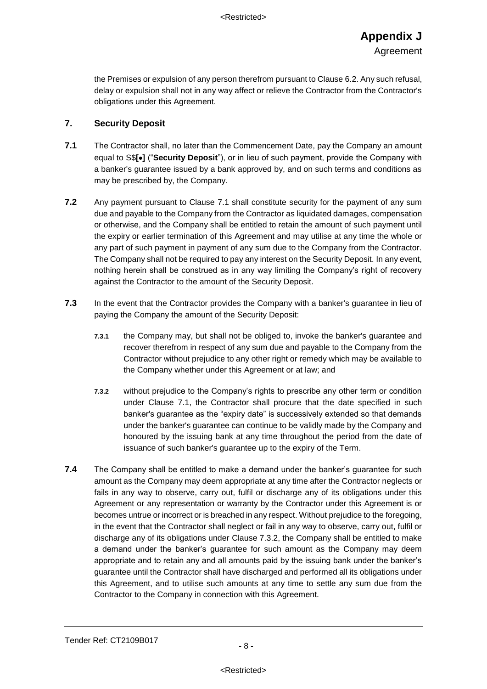the Premises or expulsion of any person therefrom pursuant to Clause [6.2.](#page-9-2) Any such refusal, delay or expulsion shall not in any way affect or relieve the Contractor from the Contractor's obligations under this Agreement.

# **7. Security Deposit**

- <span id="page-10-0"></span>**7.1** The Contractor shall, no later than the Commencement Date, pay the Company an amount equal to S\$**[**•**]** ("**Security Deposit**"), or in lieu of such payment, provide the Company with a banker's guarantee issued by a bank approved by, and on such terms and conditions as may be prescribed by, the Company.
- **7.2** Any payment pursuant to Clause [7.1](#page-10-0) shall constitute security for the payment of any sum due and payable to the Company from the Contractor as liquidated damages, compensation or otherwise, and the Company shall be entitled to retain the amount of such payment until the expiry or earlier termination of this Agreement and may utilise at any time the whole or any part of such payment in payment of any sum due to the Company from the Contractor. The Company shall not be required to pay any interest on the Security Deposit. In any event, nothing herein shall be construed as in any way limiting the Company's right of recovery against the Contractor to the amount of the Security Deposit.
- **7.3** In the event that the Contractor provides the Company with a banker's guarantee in lieu of paying the Company the amount of the Security Deposit:
	- **7.3.1** the Company may, but shall not be obliged to, invoke the banker's guarantee and recover therefrom in respect of any sum due and payable to the Company from the Contractor without prejudice to any other right or remedy which may be available to the Company whether under this Agreement or at law; and
	- **7.3.2** without prejudice to the Company's rights to prescribe any other term or condition under Clause [7.1,](#page-10-0) the Contractor shall procure that the date specified in such banker's guarantee as the "expiry date" is successively extended so that demands under the banker's guarantee can continue to be validly made by the Company and honoured by the issuing bank at any time throughout the period from the date of issuance of such banker's guarantee up to the expiry of the Term.
- **7.4** The Company shall be entitled to make a demand under the banker's guarantee for such amount as the Company may deem appropriate at any time after the Contractor neglects or fails in any way to observe, carry out, fulfil or discharge any of its obligations under this Agreement or any representation or warranty by the Contractor under this Agreement is or becomes untrue or incorrect or is breached in any respect. Without prejudice to the foregoing, in the event that the Contractor shall neglect or fail in any way to observe, carry out, fulfil or discharge any of its obligations under Clause 7.3.2, the Company shall be entitled to make a demand under the banker's guarantee for such amount as the Company may deem appropriate and to retain any and all amounts paid by the issuing bank under the banker's guarantee until the Contractor shall have discharged and performed all its obligations under this Agreement, and to utilise such amounts at any time to settle any sum due from the Contractor to the Company in connection with this Agreement.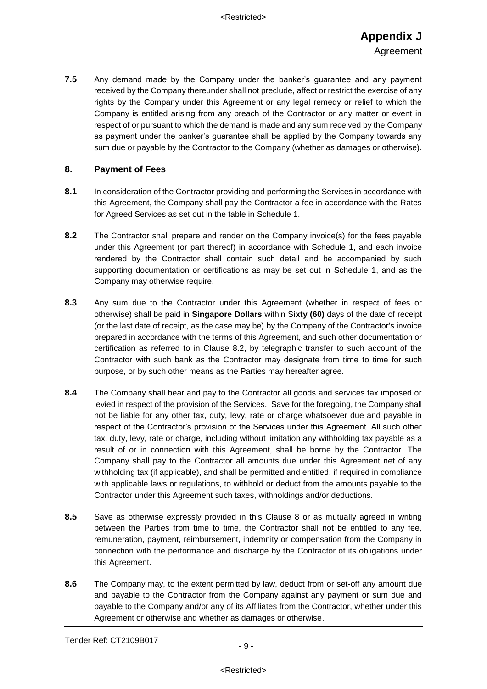**7.5** Any demand made by the Company under the banker's guarantee and any payment received by the Company thereunder shall not preclude, affect or restrict the exercise of any rights by the Company under this Agreement or any legal remedy or relief to which the Company is entitled arising from any breach of the Contractor or any matter or event in respect of or pursuant to which the demand is made and any sum received by the Company as payment under the banker's guarantee shall be applied by the Company towards any sum due or payable by the Contractor to the Company (whether as damages or otherwise).

## <span id="page-11-1"></span>**8. Payment of Fees**

- **8.1** In consideration of the Contractor providing and performing the Services in accordance with this Agreement, the Company shall pay the Contractor a fee in accordance with the Rates for Agreed Services as set out in the table in [Schedule 1.](#page-25-0)
- <span id="page-11-0"></span>**8.2** The Contractor shall prepare and render on the Company invoice(s) for the fees payable under this Agreement (or part thereof) in accordance with [Schedule 1,](#page-25-0) and each invoice rendered by the Contractor shall contain such detail and be accompanied by such supporting documentation or certifications as may be set out in [Schedule 1,](#page-25-0) and as the Company may otherwise require.
- **8.3** Any sum due to the Contractor under this Agreement (whether in respect of fees or otherwise) shall be paid in **Singapore Dollars** within S**ixty (60)** days of the date of receipt (or the last date of receipt, as the case may be) by the Company of the Contractor's invoice prepared in accordance with the terms of this Agreement, and such other documentation or certification as referred to in Clause [8.2,](#page-11-0) by telegraphic transfer to such account of the Contractor with such bank as the Contractor may designate from time to time for such purpose, or by such other means as the Parties may hereafter agree.
- **8.4** The Company shall bear and pay to the Contractor all goods and services tax imposed or levied in respect of the provision of the Services. Save for the foregoing, the Company shall not be liable for any other tax, duty, levy, rate or charge whatsoever due and payable in respect of the Contractor's provision of the Services under this Agreement. All such other tax, duty, levy, rate or charge, including without limitation any withholding tax payable as a result of or in connection with this Agreement, shall be borne by the Contractor. The Company shall pay to the Contractor all amounts due under this Agreement net of any withholding tax (if applicable), and shall be permitted and entitled, if required in compliance with applicable laws or regulations, to withhold or deduct from the amounts payable to the Contractor under this Agreement such taxes, withholdings and/or deductions.
- **8.5** Save as otherwise expressly provided in this Clause [8](#page-11-1) or as mutually agreed in writing between the Parties from time to time, the Contractor shall not be entitled to any fee, remuneration, payment, reimbursement, indemnity or compensation from the Company in connection with the performance and discharge by the Contractor of its obligations under this Agreement.
- <span id="page-11-2"></span>**8.6** The Company may, to the extent permitted by law, deduct from or set-off any amount due and payable to the Contractor from the Company against any payment or sum due and payable to the Company and/or any of its Affiliates from the Contractor, whether under this Agreement or otherwise and whether as damages or otherwise.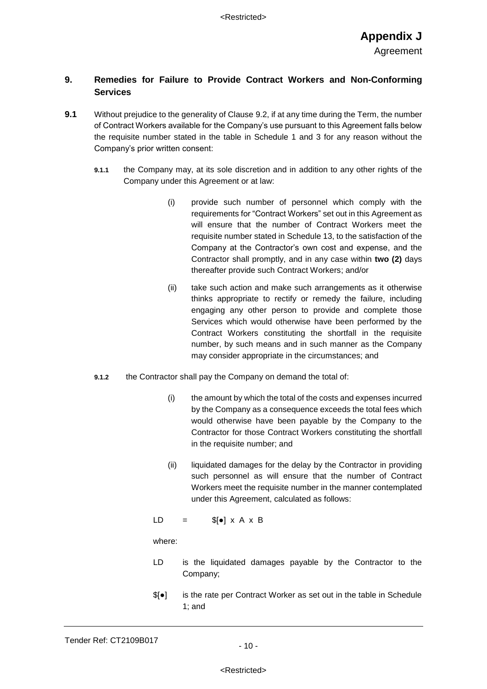# **9. Remedies for Failure to Provide Contract Workers and Non-Conforming Services**

- <span id="page-12-0"></span>**9.1** Without prejudice to the generality of Clause [9.2,](#page-13-0) if at any time during the Term, the number of Contract Workers available for the Company's use pursuant to this Agreement falls below the requisite number stated in the table in [Schedule 1](#page-25-0) and 3 for any reason without the Company's prior written consent:
	- **9.1.1** the Company may, at its sole discretion and in addition to any other rights of the Company under this Agreement or at law:
		- (i) provide such number of personnel which comply with the requirements for "Contract Workers" set out in this Agreement as will ensure that the number of Contract Workers meet the requisite number stated in [Schedule 13](#page-25-0), to the satisfaction of the Company at the Contractor's own cost and expense, and the Contractor shall promptly, and in any case within **two (2)** days thereafter provide such Contract Workers; and/or
		- (ii) take such action and make such arrangements as it otherwise thinks appropriate to rectify or remedy the failure, including engaging any other person to provide and complete those Services which would otherwise have been performed by the Contract Workers constituting the shortfall in the requisite number, by such means and in such manner as the Company may consider appropriate in the circumstances; and
	- **9.1.2** the Contractor shall pay the Company on demand the total of:
		- (i) the amount by which the total of the costs and expenses incurred by the Company as a consequence exceeds the total fees which would otherwise have been payable by the Company to the Contractor for those Contract Workers constituting the shortfall in the requisite number; and
		- (ii) liquidated damages for the delay by the Contractor in providing such personnel as will ensure that the number of Contract Workers meet the requisite number in the manner contemplated under this Agreement, calculated as follows:

<span id="page-12-1"></span>
$$
LD = \S[\bullet] \times A \times B
$$

where:

- LD is the liquidated damages payable by the Contractor to the Company;
- \$[●] is the rate per Contract Worker as set out in the table in Schedule 1; and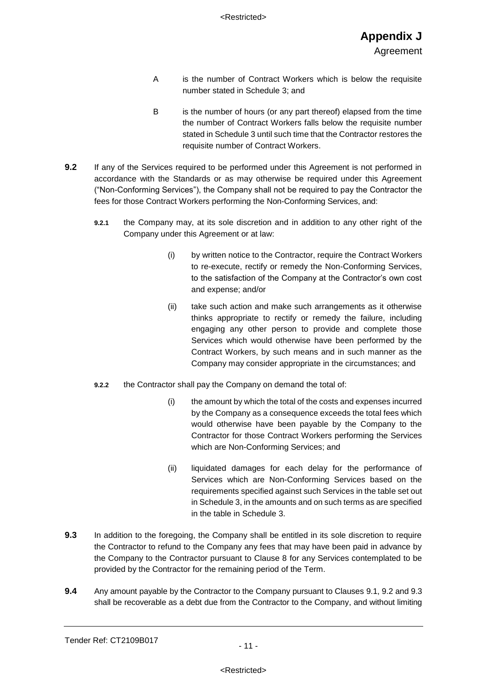- A is the number of Contract Workers which is below the requisite number stated in Schedule 3; and
- B is the number of hours (or any part thereof) elapsed from the time the number of Contract Workers falls below the requisite number stated in Schedule 3 until such time that the Contractor restores the requisite number of Contract Workers.
- <span id="page-13-0"></span>**9.2** If any of the Services required to be performed under this Agreement is not performed in accordance with the Standards or as may otherwise be required under this Agreement ("Non-Conforming Services"), the Company shall not be required to pay the Contractor the fees for those Contract Workers performing the Non-Conforming Services, and:
	- **9.2.1** the Company may, at its sole discretion and in addition to any other right of the Company under this Agreement or at law:
		- (i) by written notice to the Contractor, require the Contract Workers to re-execute, rectify or remedy the Non-Conforming Services, to the satisfaction of the Company at the Contractor's own cost and expense; and/or
		- (ii) take such action and make such arrangements as it otherwise thinks appropriate to rectify or remedy the failure, including engaging any other person to provide and complete those Services which would otherwise have been performed by the Contract Workers, by such means and in such manner as the Company may consider appropriate in the circumstances; and
	- **9.2.2** the Contractor shall pay the Company on demand the total of:
		- (i) the amount by which the total of the costs and expenses incurred by the Company as a consequence exceeds the total fees which would otherwise have been payable by the Company to the Contractor for those Contract Workers performing the Services which are Non-Conforming Services; and
		- (ii) liquidated damages for each delay for the performance of Services which are Non-Conforming Services based on the requirements specified against such Services in the table set out in [Schedule 3,](#page-28-0) in the amounts and on such terms as are specified in the table in [Schedule 3.](#page-28-0)
- **9.3** In addition to the foregoing, the Company shall be entitled in its sole discretion to require the Contractor to refund to the Company any fees that may have been paid in advance by the Company to the Contractor pursuant to Clause 8 for any Services contemplated to be provided by the Contractor for the remaining period of the Term.
- **9.4** Any amount payable by the Contractor to the Company pursuant to Clauses [9.1,](#page-12-0) 9.2 and 9.3 shall be recoverable as a debt due from the Contractor to the Company, and without limiting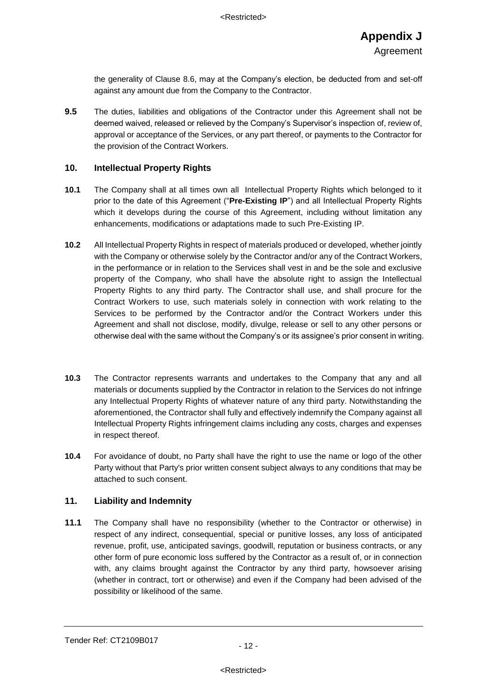<Restricted>

the generality of Clause [8.6,](#page-11-2) may at the Company's election, be deducted from and set-off against any amount due from the Company to the Contractor.

**9.5** The duties, liabilities and obligations of the Contractor under this Agreement shall not be deemed waived, released or relieved by the Company's Supervisor's inspection of, review of, approval or acceptance of the Services, or any part thereof, or payments to the Contractor for the provision of the Contract Workers.

## <span id="page-14-0"></span>**10. Intellectual Property Rights**

- **10.1** The Company shall at all times own all Intellectual Property Rights which belonged to it prior to the date of this Agreement ("**Pre-Existing IP**") and all Intellectual Property Rights which it develops during the course of this Agreement, including without limitation any enhancements, modifications or adaptations made to such Pre-Existing IP.
- **10.2** All Intellectual Property Rights in respect of materials produced or developed, whether jointly with the Company or otherwise solely by the Contractor and/or any of the Contract Workers, in the performance or in relation to the Services shall vest in and be the sole and exclusive property of the Company, who shall have the absolute right to assign the Intellectual Property Rights to any third party. The Contractor shall use, and shall procure for the Contract Workers to use, such materials solely in connection with work relating to the Services to be performed by the Contractor and/or the Contract Workers under this Agreement and shall not disclose, modify, divulge, release or sell to any other persons or otherwise deal with the same without the Company's or its assignee's prior consent in writing.
- **10.3** The Contractor represents warrants and undertakes to the Company that any and all materials or documents supplied by the Contractor in relation to the Services do not infringe any Intellectual Property Rights of whatever nature of any third party. Notwithstanding the aforementioned, the Contractor shall fully and effectively indemnify the Company against all Intellectual Property Rights infringement claims including any costs, charges and expenses in respect thereof.
- **10.4** For avoidance of doubt, no Party shall have the right to use the name or logo of the other Party without that Party's prior written consent subject always to any conditions that may be attached to such consent.

## **11. Liability and Indemnity**

**11.1** The Company shall have no responsibility (whether to the Contractor or otherwise) in respect of any indirect, consequential, special or punitive losses, any loss of anticipated revenue, profit, use, anticipated savings, goodwill, reputation or business contracts, or any other form of pure economic loss suffered by the Contractor as a result of, or in connection with, any claims brought against the Contractor by any third party, howsoever arising (whether in contract, tort or otherwise) and even if the Company had been advised of the possibility or likelihood of the same.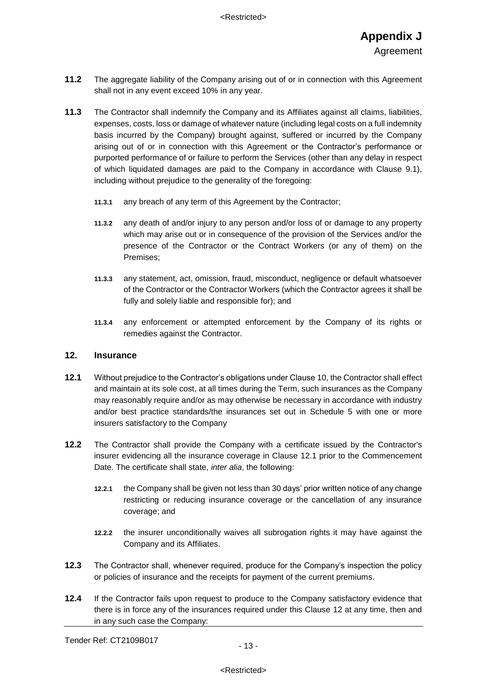- **11.2** The aggregate liability of the Company arising out of or in connection with this Agreement shall not in any event exceed 10% in any year.
- <span id="page-15-2"></span>**11.3** The Contractor shall indemnify the Company and its Affiliates against all claims, liabilities, expenses, costs, loss or damage of whatever nature (including legal costs on a full indemnity basis incurred by the Company) brought against, suffered or incurred by the Company arising out of or in connection with this Agreement or the Contractor's performance or purported performance of or failure to perform the Services (other than any delay in respect of which liquidated damages are paid to the Company in accordance with Clause [9.1\)](#page-12-0), including without prejudice to the generality of the foregoing:
	- **11.3.1** any breach of any term of this Agreement by the Contractor;
	- **11.3.2** any death of and/or injury to any person and/or loss of or damage to any property which may arise out or in consequence of the provision of the Services and/or the presence of the Contractor or the Contract Workers (or any of them) on the Premises;
	- **11.3.3** any statement, act, omission, fraud, misconduct, negligence or default whatsoever of the Contractor or the Contractor Workers (which the Contractor agrees it shall be fully and solely liable and responsible for); and
	- **11.3.4** any enforcement or attempted enforcement by the Company of its rights or remedies against the Contractor.

## <span id="page-15-1"></span>**12. Insurance**

- <span id="page-15-0"></span>**12.1** Without prejudice to the Contractor's obligations under Clause [10,](#page-14-0) the Contractor shall effect and maintain at its sole cost, at all times during the Term, such insurances as the Company may reasonably require and/or as may otherwise be necessary in accordance with industry and/or best practice standards/the insurances set out in [Schedule 5](#page-30-0) with one or more insurers satisfactory to the Company
- **12.2** The Contractor shall provide the Company with a certificate issued by the Contractor's insurer evidencing all the insurance coverage in Clause [12.1](#page-15-0) prior to the Commencement Date. The certificate shall state, *inter alia*, the following:
	- **12.2.1** the Company shall be given not less than 30 days' prior written notice of any change restricting or reducing insurance coverage or the cancellation of any insurance coverage; and
	- **12.2.2** the insurer unconditionally waives all subrogation rights it may have against the Company and its Affiliates.
- **12.3** The Contractor shall, whenever required, produce for the Company's inspection the policy or policies of insurance and the receipts for payment of the current premiums.
- **12.4** If the Contractor fails upon request to produce to the Company satisfactory evidence that there is in force any of the insurances required under this Clause [12](#page-15-1) at any time, then and in any such case the Company: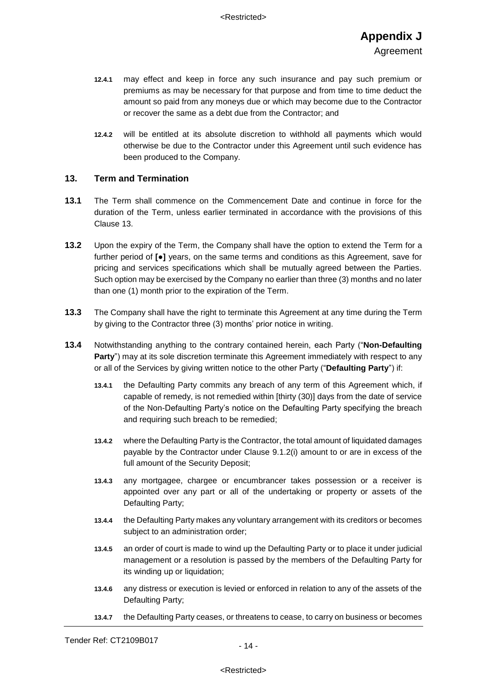- **12.4.1** may effect and keep in force any such insurance and pay such premium or premiums as may be necessary for that purpose and from time to time deduct the amount so paid from any moneys due or which may become due to the Contractor or recover the same as a debt due from the Contractor; and
- **12.4.2** will be entitled at its absolute discretion to withhold all payments which would otherwise be due to the Contractor under this Agreement until such evidence has been produced to the Company.

## <span id="page-16-0"></span>**13. Term and Termination**

- **13.1** The Term shall commence on the Commencement Date and continue in force for the duration of the Term, unless earlier terminated in accordance with the provisions of this Clause 13.
- **13.2** Upon the expiry of the Term, the Company shall have the option to extend the Term for a further period of  $\lceil \bullet \rceil$  years, on the same terms and conditions as this Agreement, save for pricing and services specifications which shall be mutually agreed between the Parties. Such option may be exercised by the Company no earlier than three (3) months and no later than one (1) month prior to the expiration of the Term.
- **13.3** The Company shall have the right to terminate this Agreement at any time during the Term by giving to the Contractor three (3) months' prior notice in writing.
- **13.4** Notwithstanding anything to the contrary contained herein, each Party ("**Non-Defaulting Party**") may at its sole discretion terminate this Agreement immediately with respect to any or all of the Services by giving written notice to the other Party ("**Defaulting Party**") if:
	- **13.4.1** the Defaulting Party commits any breach of any term of this Agreement which, if capable of remedy, is not remedied within [thirty (30)] days from the date of service of the Non-Defaulting Party's notice on the Defaulting Party specifying the breach and requiring such breach to be remedied;
	- **13.4.2** where the Defaulting Party is the Contractor, the total amount of liquidated damages payable by the Contractor under Clause [9.1.2\(i\)](#page-12-1) amount to or are in excess of the full amount of the Security Deposit;
	- **13.4.3** any mortgagee, chargee or encumbrancer takes possession or a receiver is appointed over any part or all of the undertaking or property or assets of the Defaulting Party;
	- **13.4.4** the Defaulting Party makes any voluntary arrangement with its creditors or becomes subject to an administration order;
	- **13.4.5** an order of court is made to wind up the Defaulting Party or to place it under judicial management or a resolution is passed by the members of the Defaulting Party for its winding up or liquidation;
	- **13.4.6** any distress or execution is levied or enforced in relation to any of the assets of the Defaulting Party;
	- **13.4.7** the Defaulting Party ceases, or threatens to cease, to carry on business or becomes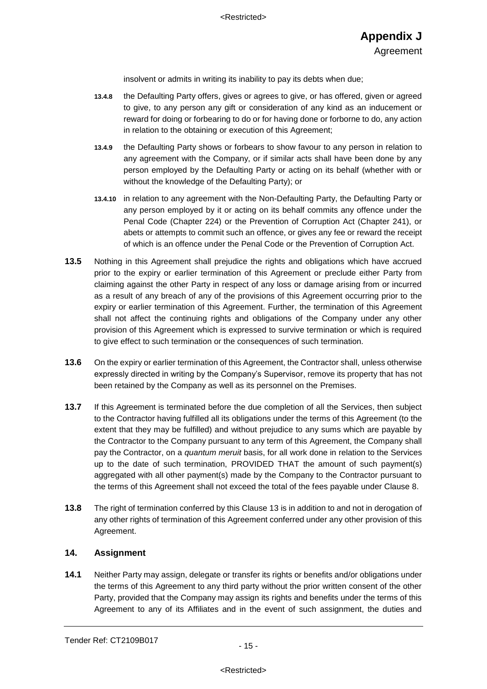insolvent or admits in writing its inability to pay its debts when due;

- **13.4.8** the Defaulting Party offers, gives or agrees to give, or has offered, given or agreed to give, to any person any gift or consideration of any kind as an inducement or reward for doing or forbearing to do or for having done or forborne to do, any action in relation to the obtaining or execution of this Agreement;
- **13.4.9** the Defaulting Party shows or forbears to show favour to any person in relation to any agreement with the Company, or if similar acts shall have been done by any person employed by the Defaulting Party or acting on its behalf (whether with or without the knowledge of the Defaulting Party); or
- **13.4.10** in relation to any agreement with the Non-Defaulting Party, the Defaulting Party or any person employed by it or acting on its behalf commits any offence under the Penal Code (Chapter 224) or the Prevention of Corruption Act (Chapter 241), or abets or attempts to commit such an offence, or gives any fee or reward the receipt of which is an offence under the Penal Code or the Prevention of Corruption Act.
- **13.5** Nothing in this Agreement shall prejudice the rights and obligations which have accrued prior to the expiry or earlier termination of this Agreement or preclude either Party from claiming against the other Party in respect of any loss or damage arising from or incurred as a result of any breach of any of the provisions of this Agreement occurring prior to the expiry or earlier termination of this Agreement. Further, the termination of this Agreement shall not affect the continuing rights and obligations of the Company under any other provision of this Agreement which is expressed to survive termination or which is required to give effect to such termination or the consequences of such termination.
- **13.6** On the expiry or earlier termination of this Agreement, the Contractor shall, unless otherwise expressly directed in writing by the Company's Supervisor, remove its property that has not been retained by the Company as well as its personnel on the Premises.
- **13.7** If this Agreement is terminated before the due completion of all the Services, then subject to the Contractor having fulfilled all its obligations under the terms of this Agreement (to the extent that they may be fulfilled) and without prejudice to any sums which are payable by the Contractor to the Company pursuant to any term of this Agreement, the Company shall pay the Contractor, on a *quantum meruit* basis, for all work done in relation to the Services up to the date of such termination, PROVIDED THAT the amount of such payment(s) aggregated with all other payment(s) made by the Company to the Contractor pursuant to the terms of this Agreement shall not exceed the total of the fees payable under Clause [8.](#page-11-1)
- **13.8** The right of termination conferred by this Clause [13](#page-16-0) is in addition to and not in derogation of any other rights of termination of this Agreement conferred under any other provision of this Agreement.

## **14. Assignment**

**14.1** Neither Party may assign, delegate or transfer its rights or benefits and/or obligations under the terms of this Agreement to any third party without the prior written consent of the other Party, provided that the Company may assign its rights and benefits under the terms of this Agreement to any of its Affiliates and in the event of such assignment, the duties and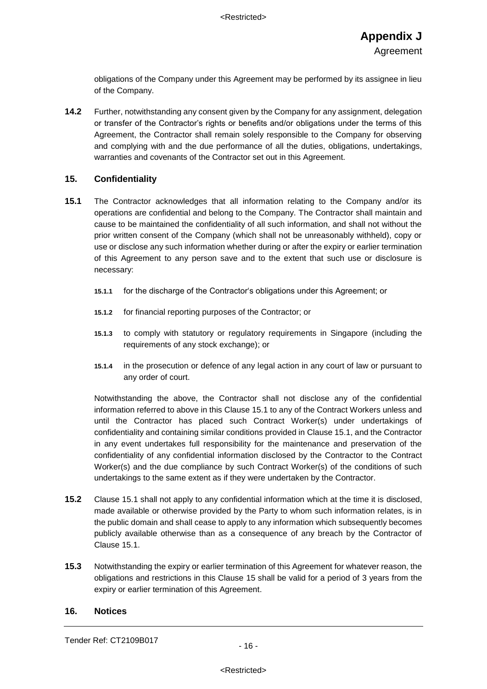<Restricted>

obligations of the Company under this Agreement may be performed by its assignee in lieu of the Company.

**14.2** Further, notwithstanding any consent given by the Company for any assignment, delegation or transfer of the Contractor's rights or benefits and/or obligations under the terms of this Agreement, the Contractor shall remain solely responsible to the Company for observing and complying with and the due performance of all the duties, obligations, undertakings, warranties and covenants of the Contractor set out in this Agreement.

## <span id="page-18-1"></span>**15. Confidentiality**

- <span id="page-18-0"></span>**15.1** The Contractor acknowledges that all information relating to the Company and/or its operations are confidential and belong to the Company. The Contractor shall maintain and cause to be maintained the confidentiality of all such information, and shall not without the prior written consent of the Company (which shall not be unreasonably withheld), copy or use or disclose any such information whether during or after the expiry or earlier termination of this Agreement to any person save and to the extent that such use or disclosure is necessary:
	- **15.1.1** for the discharge of the Contractor's obligations under this Agreement; or
	- **15.1.2** for financial reporting purposes of the Contractor; or
	- **15.1.3** to comply with statutory or regulatory requirements in Singapore (including the requirements of any stock exchange); or
	- **15.1.4** in the prosecution or defence of any legal action in any court of law or pursuant to any order of court.

Notwithstanding the above, the Contractor shall not disclose any of the confidential information referred to above in this Clause [15.1](#page-18-0) to any of the Contract Workers unless and until the Contractor has placed such Contract Worker(s) under undertakings of confidentiality and containing similar conditions provided in Clause [15.1,](#page-18-0) and the Contractor in any event undertakes full responsibility for the maintenance and preservation of the confidentiality of any confidential information disclosed by the Contractor to the Contract Worker(s) and the due compliance by such Contract Worker(s) of the conditions of such undertakings to the same extent as if they were undertaken by the Contractor.

- **15.2** Clause [15.1](#page-18-0) shall not apply to any confidential information which at the time it is disclosed, made available or otherwise provided by the Party to whom such information relates, is in the public domain and shall cease to apply to any information which subsequently becomes publicly available otherwise than as a consequence of any breach by the Contractor of Clause [15.1.](#page-18-0)
- **15.3** Notwithstanding the expiry or earlier termination of this Agreement for whatever reason, the obligations and restrictions in this Clause [15](#page-18-1) shall be valid for a period of 3 years from the expiry or earlier termination of this Agreement.

## **16. Notices**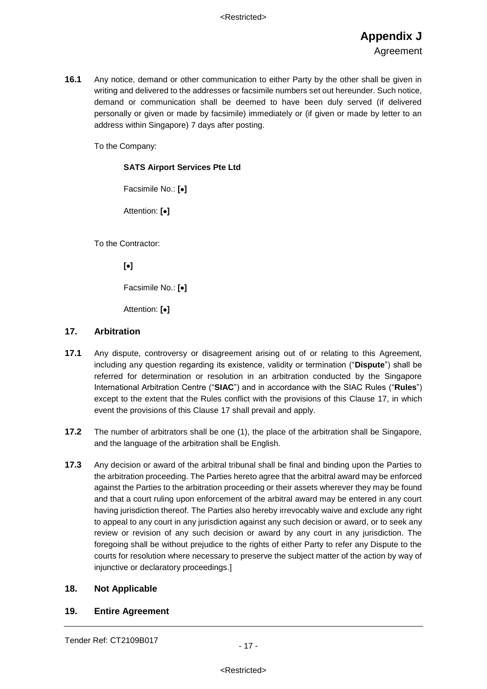**Appendix J** Agreement

**16.1** Any notice, demand or other communication to either Party by the other shall be given in writing and delivered to the addresses or facsimile numbers set out hereunder. Such notice, demand or communication shall be deemed to have been duly served (if delivered personally or given or made by facsimile) immediately or (if given or made by letter to an address within Singapore) 7 days after posting.

To the Company:

## **SATS Airport Services Pte Ltd**

Facsimile No.: **[**•**]**

Attention: **[**•**]**

To the Contractor:

**[**•**]**

Facsimile No.: **[**•**]**

Attention: **[**•**]**

#### <span id="page-19-0"></span>**17. Arbitration**

- **17.1** Any dispute, controversy or disagreement arising out of or relating to this Agreement, including any question regarding its existence, validity or termination ("**Dispute**") shall be referred for determination or resolution in an arbitration conducted by the Singapore International Arbitration Centre ("**SIAC**") and in accordance with the SIAC Rules ("**Rules**") except to the extent that the Rules conflict with the provisions of this Clause [17,](#page-19-0) in which event the provisions of this Clause [17](#page-19-0) shall prevail and apply.
- **17.2** The number of arbitrators shall be one (1), the place of the arbitration shall be Singapore, and the language of the arbitration shall be English.
- **17.3** Any decision or award of the arbitral tribunal shall be final and binding upon the Parties to the arbitration proceeding. The Parties hereto agree that the arbitral award may be enforced against the Parties to the arbitration proceeding or their assets wherever they may be found and that a court ruling upon enforcement of the arbitral award may be entered in any court having jurisdiction thereof. The Parties also hereby irrevocably waive and exclude any right to appeal to any court in any jurisdiction against any such decision or award, or to seek any review or revision of any such decision or award by any court in any jurisdiction. The foregoing shall be without prejudice to the rights of either Party to refer any Dispute to the courts for resolution where necessary to preserve the subject matter of the action by way of injunctive or declaratory proceedings.]

## **18. Not Applicable**

## **19. Entire Agreement**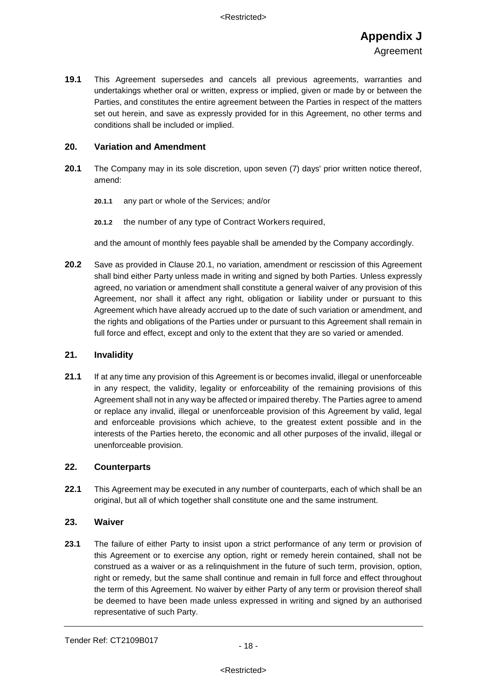**Appendix J** Agreement

**19.1** This Agreement supersedes and cancels all previous agreements, warranties and undertakings whether oral or written, express or implied, given or made by or between the Parties, and constitutes the entire agreement between the Parties in respect of the matters set out herein, and save as expressly provided for in this Agreement, no other terms and conditions shall be included or implied.

#### **20. Variation and Amendment**

- **20.1** The Company may in its sole discretion, upon seven (7) days' prior written notice thereof, amend:
	- **20.1.1** any part or whole of the Services; and/or
	- **20.1.2** the number of any type of Contract Workers required,

and the amount of monthly fees payable shall be amended by the Company accordingly.

**20.2** Save as provided in Clause 20.1, no variation, amendment or rescission of this Agreement shall bind either Party unless made in writing and signed by both Parties. Unless expressly agreed, no variation or amendment shall constitute a general waiver of any provision of this Agreement, nor shall it affect any right, obligation or liability under or pursuant to this Agreement which have already accrued up to the date of such variation or amendment, and the rights and obligations of the Parties under or pursuant to this Agreement shall remain in full force and effect, except and only to the extent that they are so varied or amended.

## **21. Invalidity**

**21.1** If at any time any provision of this Agreement is or becomes invalid, illegal or unenforceable in any respect, the validity, legality or enforceability of the remaining provisions of this Agreement shall not in any way be affected or impaired thereby. The Parties agree to amend or replace any invalid, illegal or unenforceable provision of this Agreement by valid, legal and enforceable provisions which achieve, to the greatest extent possible and in the interests of the Parties hereto, the economic and all other purposes of the invalid, illegal or unenforceable provision.

#### **22. Counterparts**

**22.1** This Agreement may be executed in any number of counterparts, each of which shall be an original, but all of which together shall constitute one and the same instrument.

#### **23. Waiver**

**23.1** The failure of either Party to insist upon a strict performance of any term or provision of this Agreement or to exercise any option, right or remedy herein contained, shall not be construed as a waiver or as a relinquishment in the future of such term, provision, option, right or remedy, but the same shall continue and remain in full force and effect throughout the term of this Agreement. No waiver by either Party of any term or provision thereof shall be deemed to have been made unless expressed in writing and signed by an authorised representative of such Party.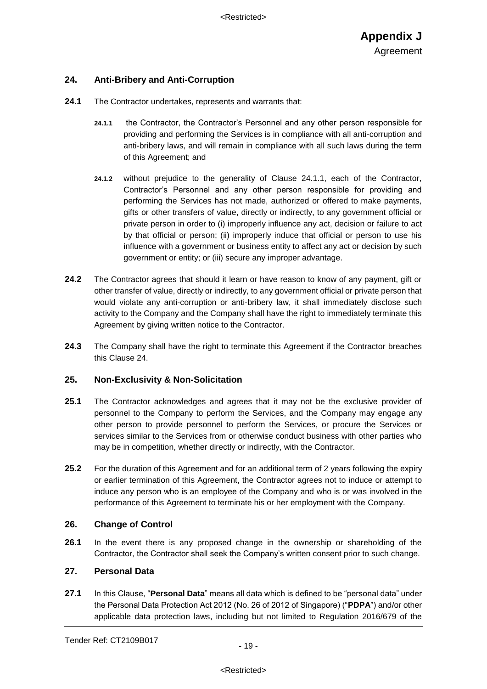# **24. Anti-Bribery and Anti-Corruption**

- **24.1** The Contractor undertakes, represents and warrants that:
	- **24.1.1** the Contractor, the Contractor's Personnel and any other person responsible for providing and performing the Services is in compliance with all anti-corruption and anti-bribery laws, and will remain in compliance with all such laws during the term of this Agreement; and
	- **24.1.2** without prejudice to the generality of Clause 24.1.1, each of the Contractor, Contractor's Personnel and any other person responsible for providing and performing the Services has not made, authorized or offered to make payments, gifts or other transfers of value, directly or indirectly, to any government official or private person in order to (i) improperly influence any act, decision or failure to act by that official or person; (ii) improperly induce that official or person to use his influence with a government or business entity to affect any act or decision by such government or entity; or (iii) secure any improper advantage.
- **24.2** The Contractor agrees that should it learn or have reason to know of any payment, gift or other transfer of value, directly or indirectly, to any government official or private person that would violate any anti-corruption or anti-bribery law, it shall immediately disclose such activity to the Company and the Company shall have the right to immediately terminate this Agreement by giving written notice to the Contractor.
- **24.3** The Company shall have the right to terminate this Agreement if the Contractor breaches this Clause 24.

## **25. Non-Exclusivity & Non-Solicitation**

- **25.1** The Contractor acknowledges and agrees that it may not be the exclusive provider of personnel to the Company to perform the Services, and the Company may engage any other person to provide personnel to perform the Services, or procure the Services or services similar to the Services from or otherwise conduct business with other parties who may be in competition, whether directly or indirectly, with the Contractor.
- **25.2** For the duration of this Agreement and for an additional term of 2 years following the expiry or earlier termination of this Agreement, the Contractor agrees not to induce or attempt to induce any person who is an employee of the Company and who is or was involved in the performance of this Agreement to terminate his or her employment with the Company.

## **26. Change of Control**

**26.1** In the event there is any proposed change in the ownership or shareholding of the Contractor, the Contractor shall seek the Company's written consent prior to such change.

## **27. Personal Data**

**27.1** In this Clause, "**Personal Data**" means all data which is defined to be "personal data" under the Personal Data Protection Act 2012 (No. 26 of 2012 of Singapore) ("**PDPA**") and/or other applicable data protection laws, including but not limited to Regulation 2016/679 of the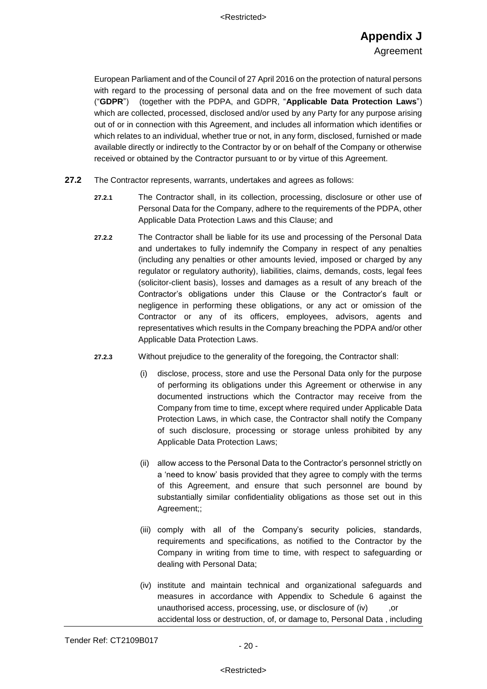European Parliament and of the Council of 27 April 2016 on the protection of natural persons with regard to the processing of personal data and on the free movement of such data ("**GDPR**") (together with the PDPA, and GDPR, "**Applicable Data Protection Laws**") which are collected, processed, disclosed and/or used by any Party for any purpose arising out of or in connection with this Agreement, and includes all information which identifies or which relates to an individual, whether true or not, in any form, disclosed, furnished or made available directly or indirectly to the Contractor by or on behalf of the Company or otherwise received or obtained by the Contractor pursuant to or by virtue of this Agreement.

- **27.2** The Contractor represents, warrants, undertakes and agrees as follows:
	- **27.2.1** The Contractor shall, in its collection, processing, disclosure or other use of Personal Data for the Company, adhere to the requirements of the PDPA, other Applicable Data Protection Laws and this Clause; and
	- **27.2.2** The Contractor shall be liable for its use and processing of the Personal Data and undertakes to fully indemnify the Company in respect of any penalties (including any penalties or other amounts levied, imposed or charged by any regulator or regulatory authority), liabilities, claims, demands, costs, legal fees (solicitor-client basis), losses and damages as a result of any breach of the Contractor's obligations under this Clause or the Contractor's fault or negligence in performing these obligations, or any act or omission of the Contractor or any of its officers, employees, advisors, agents and representatives which results in the Company breaching the PDPA and/or other Applicable Data Protection Laws.
	- **27.2.3** Without prejudice to the generality of the foregoing, the Contractor shall:
		- (i) disclose, process, store and use the Personal Data only for the purpose of performing its obligations under this Agreement or otherwise in any documented instructions which the Contractor may receive from the Company from time to time, except where required under Applicable Data Protection Laws, in which case, the Contractor shall notify the Company of such disclosure, processing or storage unless prohibited by any Applicable Data Protection Laws;
		- (ii) allow access to the Personal Data to the Contractor's personnel strictly on a 'need to know' basis provided that they agree to comply with the terms of this Agreement, and ensure that such personnel are bound by substantially similar confidentiality obligations as those set out in this Agreement;;
		- (iii) comply with all of the Company's security policies, standards, requirements and specifications, as notified to the Contractor by the Company in writing from time to time, with respect to safeguarding or dealing with Personal Data;
		- (iv) institute and maintain technical and organizational safeguards and measures in accordance with Appendix to Schedule 6 against the unauthorised access, processing, use, or disclosure of (iv) . .or accidental loss or destruction, of, or damage to, Personal Data , including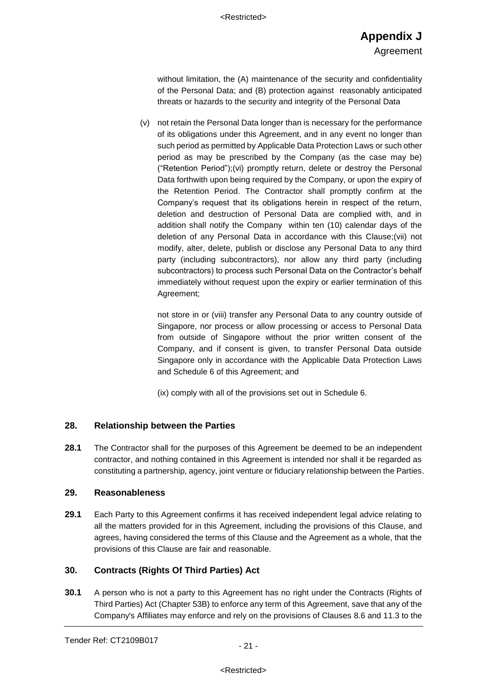without limitation, the (A) maintenance of the security and confidentiality of the Personal Data; and (B) protection against reasonably anticipated threats or hazards to the security and integrity of the Personal Data

(v) not retain the Personal Data longer than is necessary for the performance of its obligations under this Agreement, and in any event no longer than such period as permitted by Applicable Data Protection Laws or such other period as may be prescribed by the Company (as the case may be) ("Retention Period");(vi) promptly return, delete or destroy the Personal Data forthwith upon being required by the Company, or upon the expiry of the Retention Period. The Contractor shall promptly confirm at the Company's request that its obligations herein in respect of the return, deletion and destruction of Personal Data are complied with, and in addition shall notify the Company within ten (10) calendar days of the deletion of any Personal Data in accordance with this Clause;(vii) not modify, alter, delete, publish or disclose any Personal Data to any third party (including subcontractors), nor allow any third party (including subcontractors) to process such Personal Data on the Contractor's behalf immediately without request upon the expiry or earlier termination of this Agreement;

not store in or (viii) transfer any Personal Data to any country outside of Singapore, nor process or allow processing or access to Personal Data from outside of Singapore without the prior written consent of the Company, and if consent is given, to transfer Personal Data outside Singapore only in accordance with the Applicable Data Protection Laws and Schedule 6 of this Agreement; and

(ix) comply with all of the provisions set out in Schedule 6.

# **28. Relationship between the Parties**

**28.1** The Contractor shall for the purposes of this Agreement be deemed to be an independent contractor, and nothing contained in this Agreement is intended nor shall it be regarded as constituting a partnership, agency, joint venture or fiduciary relationship between the Parties.

## **29. Reasonableness**

**29.1** Each Party to this Agreement confirms it has received independent legal advice relating to all the matters provided for in this Agreement, including the provisions of this Clause, and agrees, having considered the terms of this Clause and the Agreement as a whole, that the provisions of this Clause are fair and reasonable.

# **30. Contracts (Rights Of Third Parties) Act**

**30.1** A person who is not a party to this Agreement has no right under the Contracts (Rights of Third Parties) Act (Chapter 53B) to enforce any term of this Agreement, save that any of the Company's Affiliates may enforce and rely on the provisions of Clauses 8.6 and [11.3](#page-15-2) to the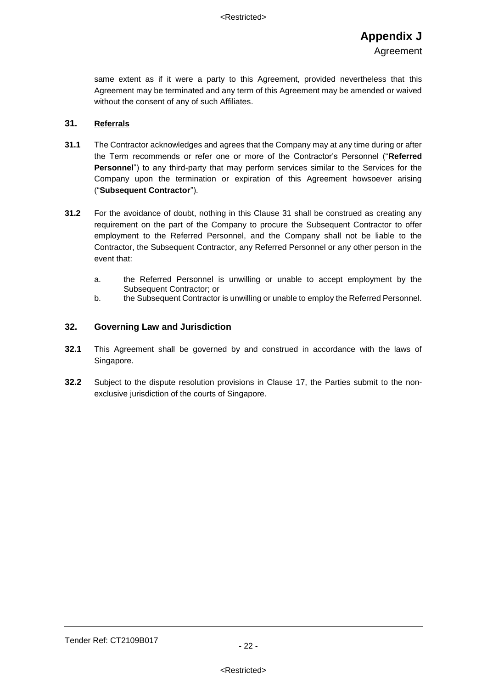same extent as if it were a party to this Agreement, provided nevertheless that this Agreement may be terminated and any term of this Agreement may be amended or waived without the consent of any of such Affiliates.

## **31. Referrals**

- **31.1** The Contractor acknowledges and agrees that the Company may at any time during or after the Term recommends or refer one or more of the Contractor's Personnel ("**Referred Personnel**") to any third-party that may perform services similar to the Services for the Company upon the termination or expiration of this Agreement howsoever arising ("**Subsequent Contractor**").
- **31.2** For the avoidance of doubt, nothing in this Clause 31 shall be construed as creating any requirement on the part of the Company to procure the Subsequent Contractor to offer employment to the Referred Personnel, and the Company shall not be liable to the Contractor, the Subsequent Contractor, any Referred Personnel or any other person in the event that:
	- a. the Referred Personnel is unwilling or unable to accept employment by the Subsequent Contractor; or
	- b. the Subsequent Contractor is unwilling or unable to employ the Referred Personnel.

## **32. Governing Law and Jurisdiction**

- **32.1** This Agreement shall be governed by and construed in accordance with the laws of Singapore.
- **32.2** Subject to the dispute resolution provisions in Clause [17,](#page-19-0) the Parties submit to the nonexclusive jurisdiction of the courts of Singapore.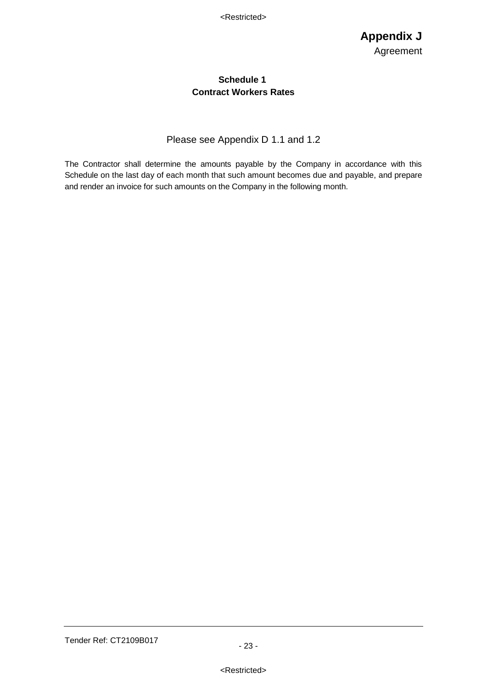**Appendix J** Agreement

# **Schedule 1 Contract Workers Rates**

# Please see Appendix D 1.1 and 1.2

<span id="page-25-0"></span>The Contractor shall determine the amounts payable by the Company in accordance with this Schedule on the last day of each month that such amount becomes due and payable, and prepare and render an invoice for such amounts on the Company in the following month.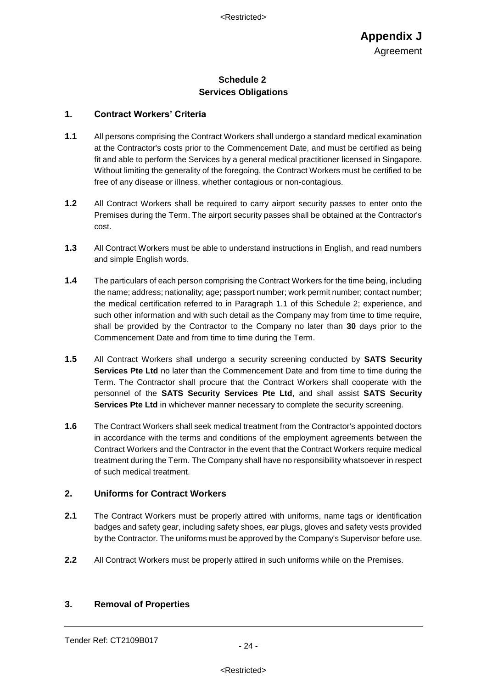**Appendix J** Agreement

# **Schedule 2 Services Obligations**

## <span id="page-26-1"></span><span id="page-26-0"></span>**1. Contract Workers' Criteria**

- <span id="page-26-2"></span>**1.1** All persons comprising the Contract Workers shall undergo a standard medical examination at the Contractor's costs prior to the Commencement Date, and must be certified as being fit and able to perform the Services by a general medical practitioner licensed in Singapore. Without limiting the generality of the foregoing, the Contract Workers must be certified to be free of any disease or illness, whether contagious or non-contagious.
- **1.2** All Contract Workers shall be required to carry airport security passes to enter onto the Premises during the Term. The airport security passes shall be obtained at the Contractor's cost.
- **1.3** All Contract Workers must be able to understand instructions in English, and read numbers and simple English words.
- **1.4** The particulars of each person comprising the Contract Workers for the time being, including the name; address; nationality; age; passport number; work permit number; contact number; the medical certification referred to in Paragraph [1.1](#page-26-2) of this [Schedule 2;](#page-26-1) experience, and such other information and with such detail as the Company may from time to time require, shall be provided by the Contractor to the Company no later than **30** days prior to the Commencement Date and from time to time during the Term.
- **1.5** All Contract Workers shall undergo a security screening conducted by **SATS Security Services Pte Ltd** no later than the Commencement Date and from time to time during the Term. The Contractor shall procure that the Contract Workers shall cooperate with the personnel of the **SATS Security Services Pte Ltd**, and shall assist **SATS Security Services Pte Ltd** in whichever manner necessary to complete the security screening.
- **1.6** The Contract Workers shall seek medical treatment from the Contractor's appointed doctors in accordance with the terms and conditions of the employment agreements between the Contract Workers and the Contractor in the event that the Contract Workers require medical treatment during the Term. The Company shall have no responsibility whatsoever in respect of such medical treatment.

## **2. Uniforms for Contract Workers**

- **2.1** The Contract Workers must be properly attired with uniforms, name tags or identification badges and safety gear, including safety shoes, ear plugs, gloves and safety vests provided by the Contractor. The uniforms must be approved by the Company's Supervisor before use.
- **2.2** All Contract Workers must be properly attired in such uniforms while on the Premises.

## **3. Removal of Properties**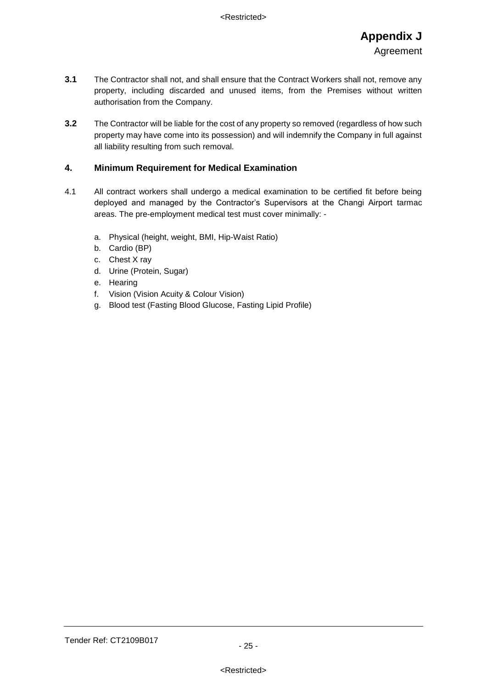- **3.1** The Contractor shall not, and shall ensure that the Contract Workers shall not, remove any property, including discarded and unused items, from the Premises without written authorisation from the Company.
- **3.2** The Contractor will be liable for the cost of any property so removed (regardless of how such property may have come into its possession) and will indemnify the Company in full against all liability resulting from such removal.

# **4. Minimum Requirement for Medical Examination**

- 4.1 All contract workers shall undergo a medical examination to be certified fit before being deployed and managed by the Contractor's Supervisors at the Changi Airport tarmac areas. The pre-employment medical test must cover minimally:
	- a. Physical (height, weight, BMI, Hip-Waist Ratio)
	- b. Cardio (BP)
	- c. Chest X ray
	- d. Urine (Protein, Sugar)
	- e. Hearing
	- f. Vision (Vision Acuity & Colour Vision)
	- g. Blood test (Fasting Blood Glucose, Fasting Lipid Profile)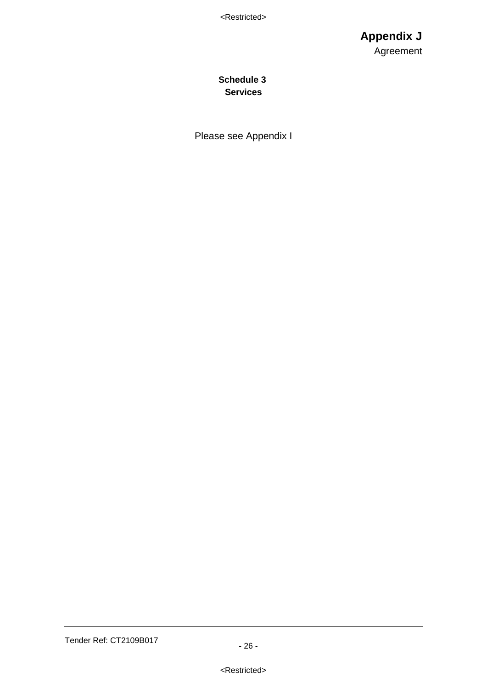<Restricted>

**Appendix J** Agreement

# **Schedule 3 Services**

<span id="page-28-0"></span>Please see Appendix I

Tender Ref: CT2109B017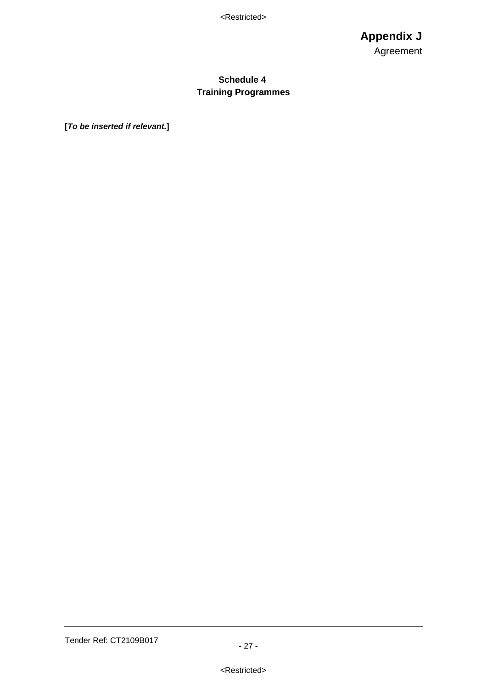<Restricted>

**Appendix J** Agreement

# **Schedule 4 Training Programmes**

**[***To be inserted if relevant.***]**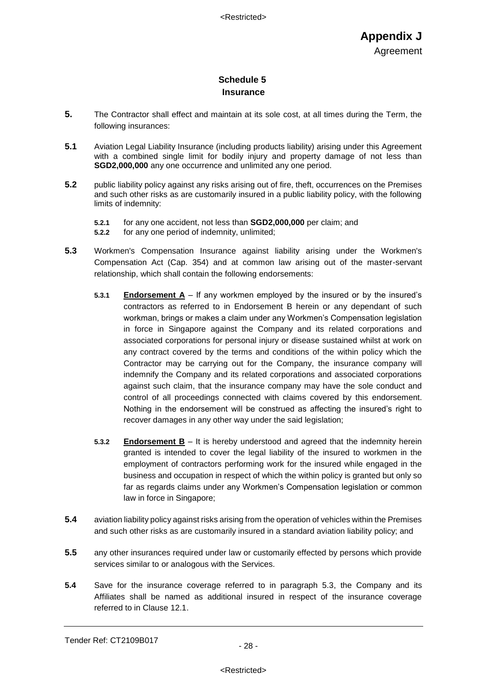# **Schedule 5 Insurance**

- <span id="page-30-0"></span>**5.** The Contractor shall effect and maintain at its sole cost, at all times during the Term, the following insurances:
- **5.1** Aviation Legal Liability Insurance (including products liability) arising under this Agreement with a combined single limit for bodily injury and property damage of not less than **SGD2,000,000** any one occurrence and unlimited any one period.
- **5.2** public liability policy against any risks arising out of fire, theft, occurrences on the Premises and such other risks as are customarily insured in a public liability policy, with the following limits of indemnity:
	- **5.2.1** for any one accident, not less than **SGD2,000,000** per claim; and **5.2.2** for any one period of indemnity, unlimited;
- **5.3** Workmen's Compensation Insurance against liability arising under the Workmen's Compensation Act (Cap. 354) and at common law arising out of the master-servant relationship, which shall contain the following endorsements:
	- **5.3.1 Endorsement A** If any workmen employed by the insured or by the insured's contractors as referred to in Endorsement B herein or any dependant of such workman, brings or makes a claim under any Workmen's Compensation legislation in force in Singapore against the Company and its related corporations and associated corporations for personal injury or disease sustained whilst at work on any contract covered by the terms and conditions of the within policy which the Contractor may be carrying out for the Company, the insurance company will indemnify the Company and its related corporations and associated corporations against such claim, that the insurance company may have the sole conduct and control of all proceedings connected with claims covered by this endorsement. Nothing in the endorsement will be construed as affecting the insured's right to recover damages in any other way under the said legislation:
	- **5.3.2 Endorsement B** It is hereby understood and agreed that the indemnity herein granted is intended to cover the legal liability of the insured to workmen in the employment of contractors performing work for the insured while engaged in the business and occupation in respect of which the within policy is granted but only so far as regards claims under any Workmen's Compensation legislation or common law in force in Singapore;
- **5.4** aviation liability policy against risks arising from the operation of vehicles within the Premises and such other risks as are customarily insured in a standard aviation liability policy; and
- **5.5** any other insurances required under law or customarily effected by persons which provide services similar to or analogous with the Services.
- **5.4** Save for the insurance coverage referred to in paragraph 5.3, the Company and its Affiliates shall be named as additional insured in respect of the insurance coverage referred to in Clause [12.1.](#page-15-0)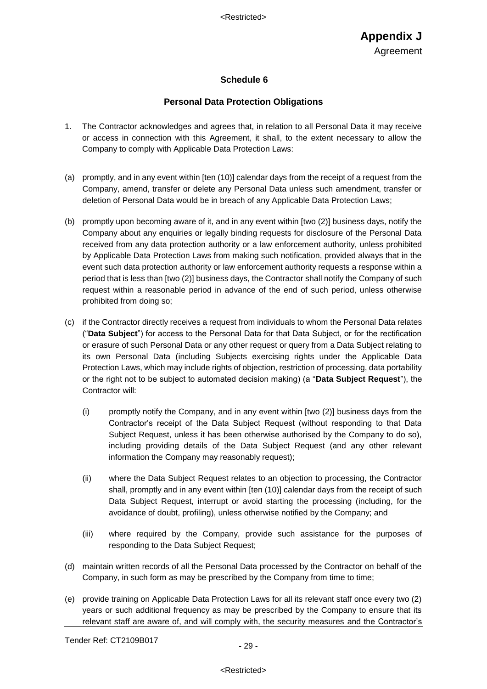**Appendix J** Agreement

## **Schedule 6**

## **Personal Data Protection Obligations**

- 1. The Contractor acknowledges and agrees that, in relation to all Personal Data it may receive or access in connection with this Agreement, it shall, to the extent necessary to allow the Company to comply with Applicable Data Protection Laws:
- (a) promptly, and in any event within [ten (10)] calendar days from the receipt of a request from the Company, amend, transfer or delete any Personal Data unless such amendment, transfer or deletion of Personal Data would be in breach of any Applicable Data Protection Laws;
- (b) promptly upon becoming aware of it, and in any event within [two (2)] business days, notify the Company about any enquiries or legally binding requests for disclosure of the Personal Data received from any data protection authority or a law enforcement authority, unless prohibited by Applicable Data Protection Laws from making such notification, provided always that in the event such data protection authority or law enforcement authority requests a response within a period that is less than [two (2)] business days, the Contractor shall notify the Company of such request within a reasonable period in advance of the end of such period, unless otherwise prohibited from doing so;
- (c) if the Contractor directly receives a request from individuals to whom the Personal Data relates ("**Data Subject**") for access to the Personal Data for that Data Subject, or for the rectification or erasure of such Personal Data or any other request or query from a Data Subject relating to its own Personal Data (including Subjects exercising rights under the Applicable Data Protection Laws, which may include rights of objection, restriction of processing, data portability or the right not to be subject to automated decision making) (a "**Data Subject Request**"), the Contractor will:
	- (i) promptly notify the Company, and in any event within [two (2)] business days from the Contractor's receipt of the Data Subject Request (without responding to that Data Subject Request, unless it has been otherwise authorised by the Company to do so), including providing details of the Data Subject Request (and any other relevant information the Company may reasonably request);
	- (ii) where the Data Subject Request relates to an objection to processing, the Contractor shall, promptly and in any event within [ten (10)] calendar days from the receipt of such Data Subject Request, interrupt or avoid starting the processing (including, for the avoidance of doubt, profiling), unless otherwise notified by the Company; and
	- (iii) where required by the Company, provide such assistance for the purposes of responding to the Data Subject Request;
- (d) maintain written records of all the Personal Data processed by the Contractor on behalf of the Company, in such form as may be prescribed by the Company from time to time;
- (e) provide training on Applicable Data Protection Laws for all its relevant staff once every two (2) years or such additional frequency as may be prescribed by the Company to ensure that its relevant staff are aware of, and will comply with, the security measures and the Contractor's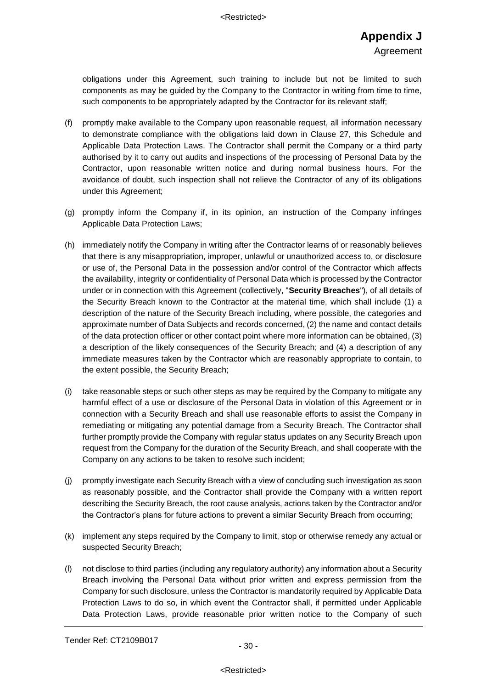<Restricted>

obligations under this Agreement, such training to include but not be limited to such components as may be guided by the Company to the Contractor in writing from time to time, such components to be appropriately adapted by the Contractor for its relevant staff;

- (f) promptly make available to the Company upon reasonable request, all information necessary to demonstrate compliance with the obligations laid down in Clause 27, this Schedule and Applicable Data Protection Laws. The Contractor shall permit the Company or a third party authorised by it to carry out audits and inspections of the processing of Personal Data by the Contractor, upon reasonable written notice and during normal business hours. For the avoidance of doubt, such inspection shall not relieve the Contractor of any of its obligations under this Agreement;
- (g) promptly inform the Company if, in its opinion, an instruction of the Company infringes Applicable Data Protection Laws;
- (h) immediately notify the Company in writing after the Contractor learns of or reasonably believes that there is any misappropriation, improper, unlawful or unauthorized access to, or disclosure or use of, the Personal Data in the possession and/or control of the Contractor which affects the availability, integrity or confidentiality of Personal Data which is processed by the Contractor under or in connection with this Agreement (collectively, "**Security Breaches**"), of all details of the Security Breach known to the Contractor at the material time, which shall include (1) a description of the nature of the Security Breach including, where possible, the categories and approximate number of Data Subjects and records concerned, (2) the name and contact details of the data protection officer or other contact point where more information can be obtained, (3) a description of the likely consequences of the Security Breach; and (4) a description of any immediate measures taken by the Contractor which are reasonably appropriate to contain, to the extent possible, the Security Breach;
- (i) take reasonable steps or such other steps as may be required by the Company to mitigate any harmful effect of a use or disclosure of the Personal Data in violation of this Agreement or in connection with a Security Breach and shall use reasonable efforts to assist the Company in remediating or mitigating any potential damage from a Security Breach. The Contractor shall further promptly provide the Company with regular status updates on any Security Breach upon request from the Company for the duration of the Security Breach, and shall cooperate with the Company on any actions to be taken to resolve such incident;
- (j) promptly investigate each Security Breach with a view of concluding such investigation as soon as reasonably possible, and the Contractor shall provide the Company with a written report describing the Security Breach, the root cause analysis, actions taken by the Contractor and/or the Contractor's plans for future actions to prevent a similar Security Breach from occurring;
- (k) implement any steps required by the Company to limit, stop or otherwise remedy any actual or suspected Security Breach;
- (l) not disclose to third parties (including any regulatory authority) any information about a Security Breach involving the Personal Data without prior written and express permission from the Company for such disclosure, unless the Contractor is mandatorily required by Applicable Data Protection Laws to do so, in which event the Contractor shall, if permitted under Applicable Data Protection Laws, provide reasonable prior written notice to the Company of such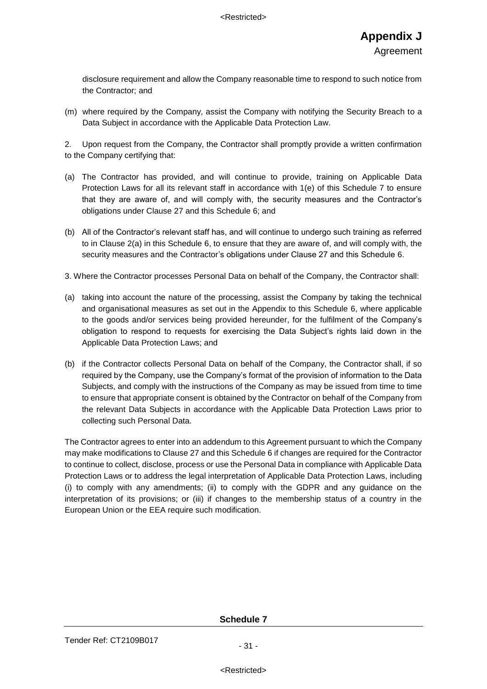disclosure requirement and allow the Company reasonable time to respond to such notice from the Contractor; and

(m) where required by the Company, assist the Company with notifying the Security Breach to a Data Subject in accordance with the Applicable Data Protection Law.

2. Upon request from the Company, the Contractor shall promptly provide a written confirmation to the Company certifying that:

- (a) The Contractor has provided, and will continue to provide, training on Applicable Data Protection Laws for all its relevant staff in accordance with 1(e) of this Schedule 7 to ensure that they are aware of, and will comply with, the security measures and the Contractor's obligations under Clause 27 and this Schedule 6; and
- (b) All of the Contractor's relevant staff has, and will continue to undergo such training as referred to in Clause 2(a) in this Schedule 6, to ensure that they are aware of, and will comply with, the security measures and the Contractor's obligations under Clause 27 and this Schedule 6.

3. Where the Contractor processes Personal Data on behalf of the Company, the Contractor shall:

- (a) taking into account the nature of the processing, assist the Company by taking the technical and organisational measures as set out in the Appendix to this Schedule 6, where applicable to the goods and/or services being provided hereunder, for the fulfilment of the Company's obligation to respond to requests for exercising the Data Subject's rights laid down in the Applicable Data Protection Laws; and
- (b) if the Contractor collects Personal Data on behalf of the Company, the Contractor shall, if so required by the Company, use the Company's format of the provision of information to the Data Subjects, and comply with the instructions of the Company as may be issued from time to time to ensure that appropriate consent is obtained by the Contractor on behalf of the Company from the relevant Data Subjects in accordance with the Applicable Data Protection Laws prior to collecting such Personal Data.

The Contractor agrees to enter into an addendum to this Agreement pursuant to which the Company may make modifications to Clause 27 and this Schedule 6 if changes are required for the Contractor to continue to collect, disclose, process or use the Personal Data in compliance with Applicable Data Protection Laws or to address the legal interpretation of Applicable Data Protection Laws, including (i) to comply with any amendments; (ii) to comply with the GDPR and any guidance on the interpretation of its provisions; or (iii) if changes to the membership status of a country in the European Union or the EEA require such modification.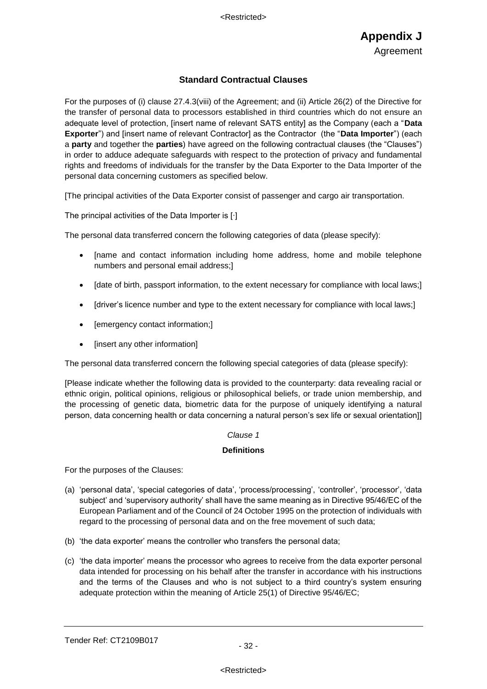# **Standard Contractual Clauses**

For the purposes of (i) clause 27.4.3(viii) of the Agreement; and (ii) Article 26(2) of the Directive for the transfer of personal data to processors established in third countries which do not ensure an adequate level of protection, [insert name of relevant SATS entity] as the Company (each a "**Data Exporter**") and [insert name of relevant Contractor] as the Contractor (the "**Data Importer**") (each a **party** and together the **parties**) have agreed on the following contractual clauses (the "Clauses") in order to adduce adequate safeguards with respect to the protection of privacy and fundamental rights and freedoms of individuals for the transfer by the Data Exporter to the Data Importer of the personal data concerning customers as specified below.

[The principal activities of the Data Exporter consist of passenger and cargo air transportation.

The principal activities of the Data Importer is [∙]

The personal data transferred concern the following categories of data (please specify):

- [name and contact information including home address, home and mobile telephone numbers and personal email address;]
- [date of birth, passport information, to the extent necessary for compliance with local laws;]
- [driver's licence number and type to the extent necessary for compliance with local laws;]
- [emergency contact information;]
- [insert any other information]

The personal data transferred concern the following special categories of data (please specify):

[Please indicate whether the following data is provided to the counterparty: data revealing racial or ethnic origin, political opinions, religious or philosophical beliefs, or trade union membership, and the processing of genetic data, biometric data for the purpose of uniquely identifying a natural person, data concerning health or data concerning a natural person's sex life or sexual orientation]]

#### *Clause 1*

#### **Definitions**

For the purposes of the Clauses:

- (a) 'personal data', 'special categories of data', 'process/processing', 'controller', 'processor', 'data subject' and 'supervisory authority' shall have the same meaning as in Directive 95/46/EC of the European Parliament and of the Council of 24 October 1995 on the protection of individuals with regard to the processing of personal data and on the free movement of such data;
- (b) 'the data exporter' means the controller who transfers the personal data;
- (c) 'the data importer' means the processor who agrees to receive from the data exporter personal data intended for processing on his behalf after the transfer in accordance with his instructions and the terms of the Clauses and who is not subject to a third country's system ensuring adequate protection within the meaning of Article 25(1) of Directive 95/46/EC;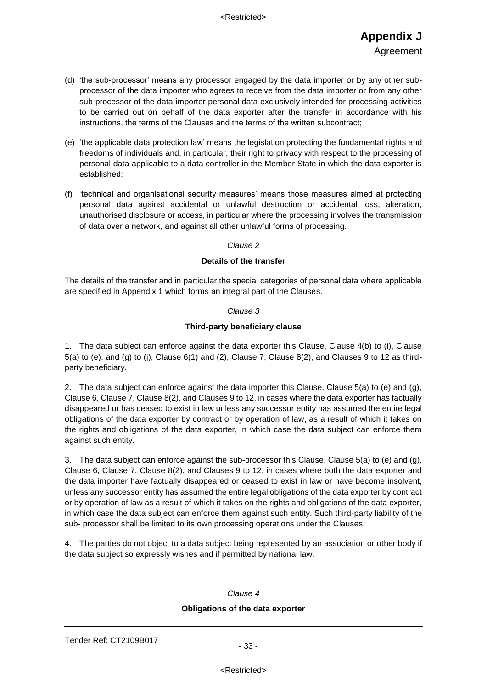- (d) 'the sub-processor' means any processor engaged by the data importer or by any other subprocessor of the data importer who agrees to receive from the data importer or from any other sub-processor of the data importer personal data exclusively intended for processing activities to be carried out on behalf of the data exporter after the transfer in accordance with his instructions, the terms of the Clauses and the terms of the written subcontract;
- (e) 'the applicable data protection law' means the legislation protecting the fundamental rights and freedoms of individuals and, in particular, their right to privacy with respect to the processing of personal data applicable to a data controller in the Member State in which the data exporter is established;
- (f) 'technical and organisational security measures' means those measures aimed at protecting personal data against accidental or unlawful destruction or accidental loss, alteration, unauthorised disclosure or access, in particular where the processing involves the transmission of data over a network, and against all other unlawful forms of processing.

#### *Clause 2*

#### **Details of the transfer**

The details of the transfer and in particular the special categories of personal data where applicable are specified in Appendix 1 which forms an integral part of the Clauses.

#### *Clause 3*

#### **Third-party beneficiary clause**

1. The data subject can enforce against the data exporter this Clause, Clause 4(b) to (i), Clause 5(a) to (e), and (g) to (j), Clause 6(1) and (2), Clause 7, Clause 8(2), and Clauses 9 to 12 as thirdparty beneficiary.

2. The data subject can enforce against the data importer this Clause, Clause 5(a) to (e) and (g), Clause 6, Clause 7, Clause 8(2), and Clauses 9 to 12, in cases where the data exporter has factually disappeared or has ceased to exist in law unless any successor entity has assumed the entire legal obligations of the data exporter by contract or by operation of law, as a result of which it takes on the rights and obligations of the data exporter, in which case the data subject can enforce them against such entity.

3. The data subject can enforce against the sub-processor this Clause, Clause 5(a) to (e) and (g), Clause 6, Clause 7, Clause 8(2), and Clauses 9 to 12, in cases where both the data exporter and the data importer have factually disappeared or ceased to exist in law or have become insolvent, unless any successor entity has assumed the entire legal obligations of the data exporter by contract or by operation of law as a result of which it takes on the rights and obligations of the data exporter, in which case the data subject can enforce them against such entity. Such third-party liability of the sub- processor shall be limited to its own processing operations under the Clauses.

4. The parties do not object to a data subject being represented by an association or other body if the data subject so expressly wishes and if permitted by national law.

#### *Clause 4*

#### **Obligations of the data exporter**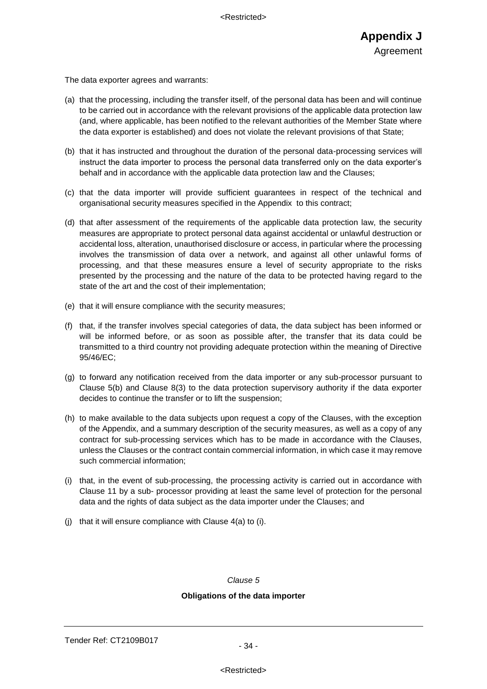The data exporter agrees and warrants:

- (a) that the processing, including the transfer itself, of the personal data has been and will continue to be carried out in accordance with the relevant provisions of the applicable data protection law (and, where applicable, has been notified to the relevant authorities of the Member State where the data exporter is established) and does not violate the relevant provisions of that State;
- (b) that it has instructed and throughout the duration of the personal data-processing services will instruct the data importer to process the personal data transferred only on the data exporter's behalf and in accordance with the applicable data protection law and the Clauses;
- (c) that the data importer will provide sufficient guarantees in respect of the technical and organisational security measures specified in the Appendix to this contract;
- (d) that after assessment of the requirements of the applicable data protection law, the security measures are appropriate to protect personal data against accidental or unlawful destruction or accidental loss, alteration, unauthorised disclosure or access, in particular where the processing involves the transmission of data over a network, and against all other unlawful forms of processing, and that these measures ensure a level of security appropriate to the risks presented by the processing and the nature of the data to be protected having regard to the state of the art and the cost of their implementation;
- (e) that it will ensure compliance with the security measures;
- (f) that, if the transfer involves special categories of data, the data subject has been informed or will be informed before, or as soon as possible after, the transfer that its data could be transmitted to a third country not providing adequate protection within the meaning of Directive 95/46/EC;
- (g) to forward any notification received from the data importer or any sub-processor pursuant to Clause 5(b) and Clause 8(3) to the data protection supervisory authority if the data exporter decides to continue the transfer or to lift the suspension;
- (h) to make available to the data subjects upon request a copy of the Clauses, with the exception of the Appendix, and a summary description of the security measures, as well as a copy of any contract for sub-processing services which has to be made in accordance with the Clauses, unless the Clauses or the contract contain commercial information, in which case it may remove such commercial information;
- (i) that, in the event of sub-processing, the processing activity is carried out in accordance with Clause 11 by a sub- processor providing at least the same level of protection for the personal data and the rights of data subject as the data importer under the Clauses; and
- (j) that it will ensure compliance with Clause 4(a) to (i).

#### *Clause 5*

#### **Obligations of the data importer**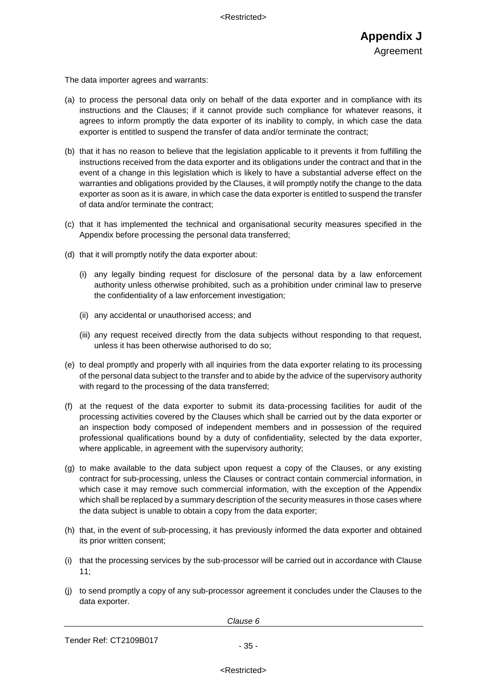The data importer agrees and warrants:

- (a) to process the personal data only on behalf of the data exporter and in compliance with its instructions and the Clauses; if it cannot provide such compliance for whatever reasons, it agrees to inform promptly the data exporter of its inability to comply, in which case the data exporter is entitled to suspend the transfer of data and/or terminate the contract;
- (b) that it has no reason to believe that the legislation applicable to it prevents it from fulfilling the instructions received from the data exporter and its obligations under the contract and that in the event of a change in this legislation which is likely to have a substantial adverse effect on the warranties and obligations provided by the Clauses, it will promptly notify the change to the data exporter as soon as it is aware, in which case the data exporter is entitled to suspend the transfer of data and/or terminate the contract;
- (c) that it has implemented the technical and organisational security measures specified in the Appendix before processing the personal data transferred;
- (d) that it will promptly notify the data exporter about:
	- (i) any legally binding request for disclosure of the personal data by a law enforcement authority unless otherwise prohibited, such as a prohibition under criminal law to preserve the confidentiality of a law enforcement investigation;
	- (ii) any accidental or unauthorised access; and
	- (iii) any request received directly from the data subjects without responding to that request, unless it has been otherwise authorised to do so;
- (e) to deal promptly and properly with all inquiries from the data exporter relating to its processing of the personal data subject to the transfer and to abide by the advice of the supervisory authority with regard to the processing of the data transferred;
- (f) at the request of the data exporter to submit its data-processing facilities for audit of the processing activities covered by the Clauses which shall be carried out by the data exporter or an inspection body composed of independent members and in possession of the required professional qualifications bound by a duty of confidentiality, selected by the data exporter, where applicable, in agreement with the supervisory authority;
- (g) to make available to the data subject upon request a copy of the Clauses, or any existing contract for sub-processing, unless the Clauses or contract contain commercial information, in which case it may remove such commercial information, with the exception of the Appendix which shall be replaced by a summary description of the security measures in those cases where the data subject is unable to obtain a copy from the data exporter;
- (h) that, in the event of sub-processing, it has previously informed the data exporter and obtained its prior written consent;
- (i) that the processing services by the sub-processor will be carried out in accordance with Clause 11;
- (j) to send promptly a copy of any sub-processor agreement it concludes under the Clauses to the data exporter.

*Clause 6*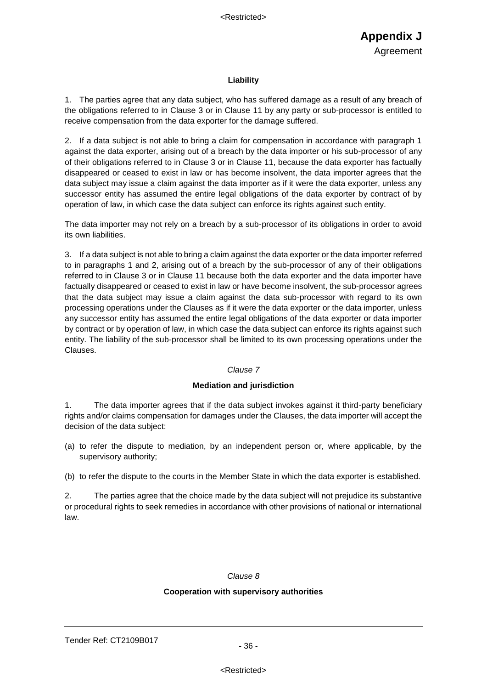**Appendix J** Agreement

#### **Liability**

1. The parties agree that any data subject, who has suffered damage as a result of any breach of the obligations referred to in Clause 3 or in Clause 11 by any party or sub-processor is entitled to receive compensation from the data exporter for the damage suffered.

2. If a data subject is not able to bring a claim for compensation in accordance with paragraph 1 against the data exporter, arising out of a breach by the data importer or his sub-processor of any of their obligations referred to in Clause 3 or in Clause 11, because the data exporter has factually disappeared or ceased to exist in law or has become insolvent, the data importer agrees that the data subject may issue a claim against the data importer as if it were the data exporter, unless any successor entity has assumed the entire legal obligations of the data exporter by contract of by operation of law, in which case the data subject can enforce its rights against such entity.

The data importer may not rely on a breach by a sub-processor of its obligations in order to avoid its own liabilities.

3. If a data subject is not able to bring a claim against the data exporter or the data importer referred to in paragraphs 1 and 2, arising out of a breach by the sub-processor of any of their obligations referred to in Clause 3 or in Clause 11 because both the data exporter and the data importer have factually disappeared or ceased to exist in law or have become insolvent, the sub-processor agrees that the data subject may issue a claim against the data sub-processor with regard to its own processing operations under the Clauses as if it were the data exporter or the data importer, unless any successor entity has assumed the entire legal obligations of the data exporter or data importer by contract or by operation of law, in which case the data subject can enforce its rights against such entity. The liability of the sub-processor shall be limited to its own processing operations under the Clauses.

#### *Clause 7*

#### **Mediation and jurisdiction**

1. The data importer agrees that if the data subject invokes against it third-party beneficiary rights and/or claims compensation for damages under the Clauses, the data importer will accept the decision of the data subject:

- (a) to refer the dispute to mediation, by an independent person or, where applicable, by the supervisory authority;
- (b) to refer the dispute to the courts in the Member State in which the data exporter is established.

2. The parties agree that the choice made by the data subject will not prejudice its substantive or procedural rights to seek remedies in accordance with other provisions of national or international law.

#### *Clause 8*

#### **Cooperation with supervisory authorities**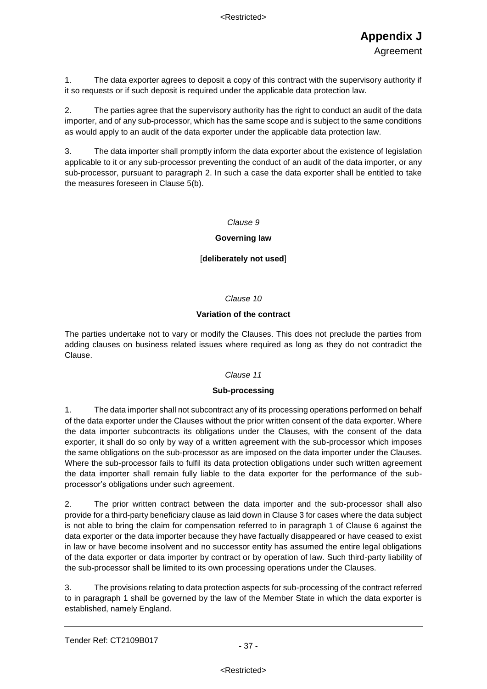1. The data exporter agrees to deposit a copy of this contract with the supervisory authority if it so requests or if such deposit is required under the applicable data protection law.

2. The parties agree that the supervisory authority has the right to conduct an audit of the data importer, and of any sub-processor, which has the same scope and is subject to the same conditions as would apply to an audit of the data exporter under the applicable data protection law.

3. The data importer shall promptly inform the data exporter about the existence of legislation applicable to it or any sub-processor preventing the conduct of an audit of the data importer, or any sub-processor, pursuant to paragraph 2. In such a case the data exporter shall be entitled to take the measures foreseen in Clause 5(b).

*Clause 9*

#### **Governing law**

#### [**deliberately not used**]

#### *Clause 10*

#### **Variation of the contract**

The parties undertake not to vary or modify the Clauses. This does not preclude the parties from adding clauses on business related issues where required as long as they do not contradict the Clause.

#### *Clause 11*

#### **Sub-processing**

1. The data importer shall not subcontract any of its processing operations performed on behalf of the data exporter under the Clauses without the prior written consent of the data exporter. Where the data importer subcontracts its obligations under the Clauses, with the consent of the data exporter, it shall do so only by way of a written agreement with the sub-processor which imposes the same obligations on the sub-processor as are imposed on the data importer under the Clauses. Where the sub-processor fails to fulfil its data protection obligations under such written agreement the data importer shall remain fully liable to the data exporter for the performance of the subprocessor's obligations under such agreement.

2. The prior written contract between the data importer and the sub-processor shall also provide for a third-party beneficiary clause as laid down in Clause 3 for cases where the data subject is not able to bring the claim for compensation referred to in paragraph 1 of Clause 6 against the data exporter or the data importer because they have factually disappeared or have ceased to exist in law or have become insolvent and no successor entity has assumed the entire legal obligations of the data exporter or data importer by contract or by operation of law. Such third-party liability of the sub-processor shall be limited to its own processing operations under the Clauses.

3. The provisions relating to data protection aspects for sub-processing of the contract referred to in paragraph 1 shall be governed by the law of the Member State in which the data exporter is established, namely England.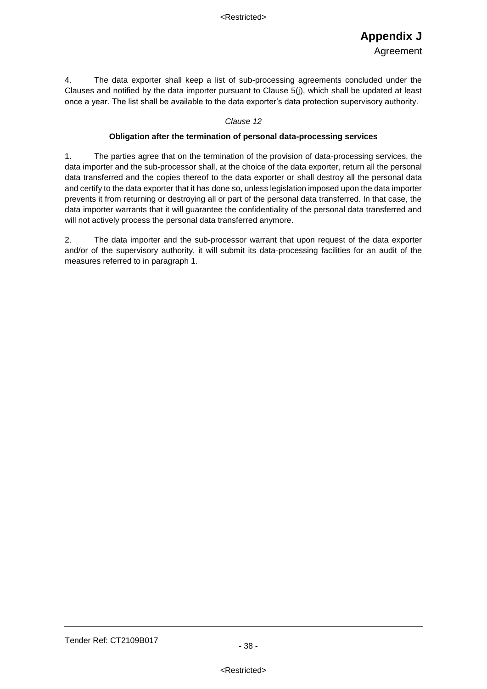4. The data exporter shall keep a list of sub-processing agreements concluded under the Clauses and notified by the data importer pursuant to Clause 5(j), which shall be updated at least once a year. The list shall be available to the data exporter's data protection supervisory authority.

#### *Clause 12*

#### **Obligation after the termination of personal data-processing services**

1. The parties agree that on the termination of the provision of data-processing services, the data importer and the sub-processor shall, at the choice of the data exporter, return all the personal data transferred and the copies thereof to the data exporter or shall destroy all the personal data and certify to the data exporter that it has done so, unless legislation imposed upon the data importer prevents it from returning or destroying all or part of the personal data transferred. In that case, the data importer warrants that it will guarantee the confidentiality of the personal data transferred and will not actively process the personal data transferred anymore.

2. The data importer and the sub-processor warrant that upon request of the data exporter and/or of the supervisory authority, it will submit its data-processing facilities for an audit of the measures referred to in paragraph 1.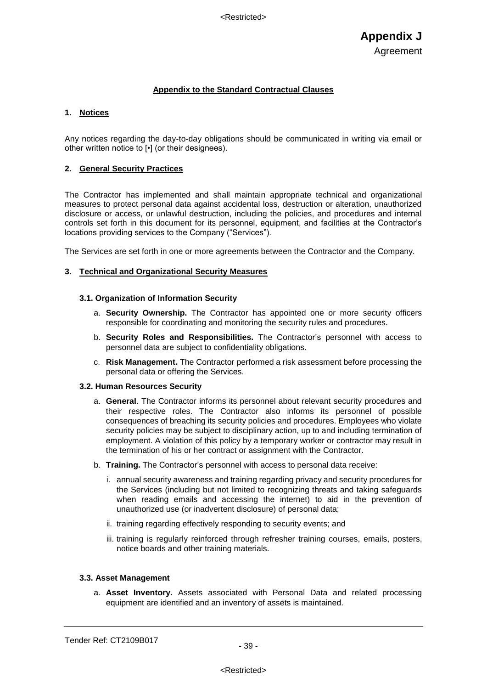#### **Appendix to the Standard Contractual Clauses**

#### **1. Notices**

Any notices regarding the day-to-day obligations should be communicated in writing via email or other written notice to [•] (or their designees).

#### **2. General Security Practices**

The Contractor has implemented and shall maintain appropriate technical and organizational measures to protect personal data against accidental loss, destruction or alteration, unauthorized disclosure or access, or unlawful destruction, including the policies, and procedures and internal controls set forth in this document for its personnel, equipment, and facilities at the Contractor's locations providing services to the Company ("Services").

The Services are set forth in one or more agreements between the Contractor and the Company.

#### **3. Technical and Organizational Security Measures**

#### **3.1. Organization of Information Security**

- a. **Security Ownership.** The Contractor has appointed one or more security officers responsible for coordinating and monitoring the security rules and procedures.
- b. **Security Roles and Responsibilities.** The Contractor's personnel with access to personnel data are subject to confidentiality obligations.
- c. **Risk Management.** The Contractor performed a risk assessment before processing the personal data or offering the Services.

#### **3.2. Human Resources Security**

- a. **General**. The Contractor informs its personnel about relevant security procedures and their respective roles. The Contractor also informs its personnel of possible consequences of breaching its security policies and procedures. Employees who violate security policies may be subject to disciplinary action, up to and including termination of employment. A violation of this policy by a temporary worker or contractor may result in the termination of his or her contract or assignment with the Contractor.
- b. **Training.** The Contractor's personnel with access to personal data receive:
	- i. annual security awareness and training regarding privacy and security procedures for the Services (including but not limited to recognizing threats and taking safeguards when reading emails and accessing the internet) to aid in the prevention of unauthorized use (or inadvertent disclosure) of personal data;
	- ii. training regarding effectively responding to security events; and
	- iii. training is regularly reinforced through refresher training courses, emails, posters, notice boards and other training materials.

#### **3.3. Asset Management**

a. **Asset Inventory.** Assets associated with Personal Data and related processing equipment are identified and an inventory of assets is maintained.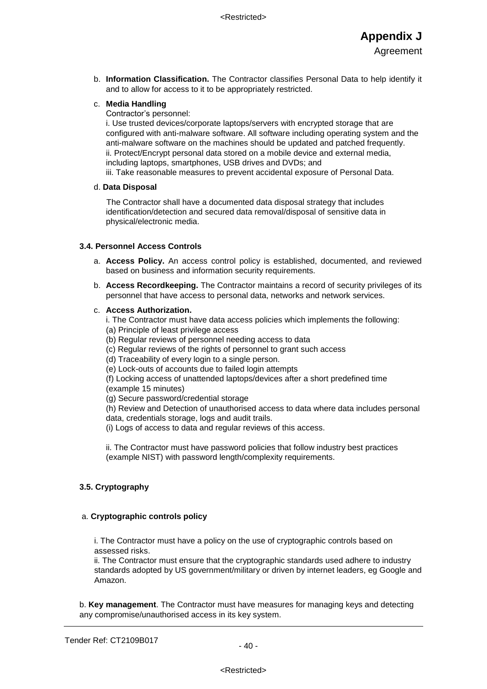- b. **Information Classification.** The Contractor classifies Personal Data to help identify it and to allow for access to it to be appropriately restricted.
- c. **Media Handling**

Contractor's personnel:

i. Use trusted devices/corporate laptops/servers with encrypted storage that are configured with anti-malware software. All software including operating system and the anti-malware software on the machines should be updated and patched frequently. ii. Protect/Encrypt personal data stored on a mobile device and external media, including laptops, smartphones, USB drives and DVDs; and iii. Take reasonable measures to prevent accidental exposure of Personal Data.

#### d. **Data Disposal**

The Contractor shall have a documented data disposal strategy that includes identification/detection and secured data removal/disposal of sensitive data in physical/electronic media.

#### **3.4. Personnel Access Controls**

- a. **Access Policy.** An access control policy is established, documented, and reviewed based on business and information security requirements.
- b. **Access Recordkeeping.** The Contractor maintains a record of security privileges of its personnel that have access to personal data, networks and network services.

#### c. **Access Authorization.**

i. The Contractor must have data access policies which implements the following:

- (a) Principle of least privilege access
- (b) Regular reviews of personnel needing access to data
- (c) Regular reviews of the rights of personnel to grant such access
- (d) Traceability of every login to a single person.
- (e) Lock-outs of accounts due to failed login attempts

(f) Locking access of unattended laptops/devices after a short predefined time

(example 15 minutes)

(g) Secure password/credential storage

(h) Review and Detection of unauthorised access to data where data includes personal data, credentials storage, logs and audit trails.

(i) Logs of access to data and regular reviews of this access.

ii. The Contractor must have password policies that follow industry best practices (example NIST) with password length/complexity requirements.

#### **3.5. Cryptography**

#### a. **Cryptographic controls policy**

i. The Contractor must have a policy on the use of cryptographic controls based on assessed risks.

ii. The Contractor must ensure that the cryptographic standards used adhere to industry standards adopted by US government/military or driven by internet leaders, eg Google and Amazon.

b. **Key management**. The Contractor must have measures for managing keys and detecting any compromise/unauthorised access in its key system.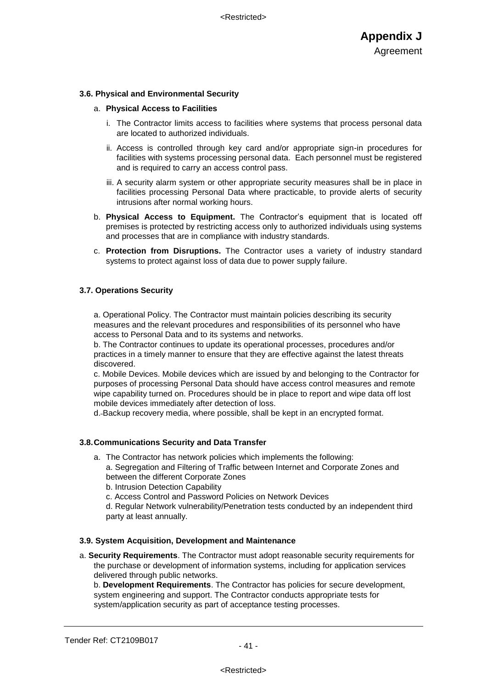#### **3.6. Physical and Environmental Security**

#### a. **Physical Access to Facilities**

- i. The Contractor limits access to facilities where systems that process personal data are located to authorized individuals.
- ii. Access is controlled through key card and/or appropriate sign-in procedures for facilities with systems processing personal data. Each personnel must be registered and is required to carry an access control pass.
- iii. A security alarm system or other appropriate security measures shall be in place in facilities processing Personal Data where practicable, to provide alerts of security intrusions after normal working hours.
- b. **Physical Access to Equipment.** The Contractor's equipment that is located off premises is protected by restricting access only to authorized individuals using systems and processes that are in compliance with industry standards.
- c. **Protection from Disruptions.** The Contractor uses a variety of industry standard systems to protect against loss of data due to power supply failure.

#### **3.7. Operations Security**

a. Operational Policy. The Contractor must maintain policies describing its security measures and the relevant procedures and responsibilities of its personnel who have access to Personal Data and to its systems and networks.

b. The Contractor continues to update its operational processes, procedures and/or practices in a timely manner to ensure that they are effective against the latest threats discovered.

c. Mobile Devices. Mobile devices which are issued by and belonging to the Contractor for purposes of processing Personal Data should have access control measures and remote wipe capability turned on. Procedures should be in place to report and wipe data off lost mobile devices immediately after detection of loss.

d. Backup recovery media, where possible, shall be kept in an encrypted format.

#### **3.8.Communications Security and Data Transfer**

- a. The Contractor has network policies which implements the following: a. Segregation and Filtering of Traffic between Internet and Corporate Zones and between the different Corporate Zones
	- b. Intrusion Detection Capability
	- c. Access Control and Password Policies on Network Devices

d. Regular Network vulnerability/Penetration tests conducted by an independent third party at least annually.

#### **3.9. System Acquisition, Development and Maintenance**

a. **Security Requirements**. The Contractor must adopt reasonable security requirements for the purchase or development of information systems, including for application services delivered through public networks.

b. **Development Requirements**. The Contractor has policies for secure development, system engineering and support. The Contractor conducts appropriate tests for system/application security as part of acceptance testing processes.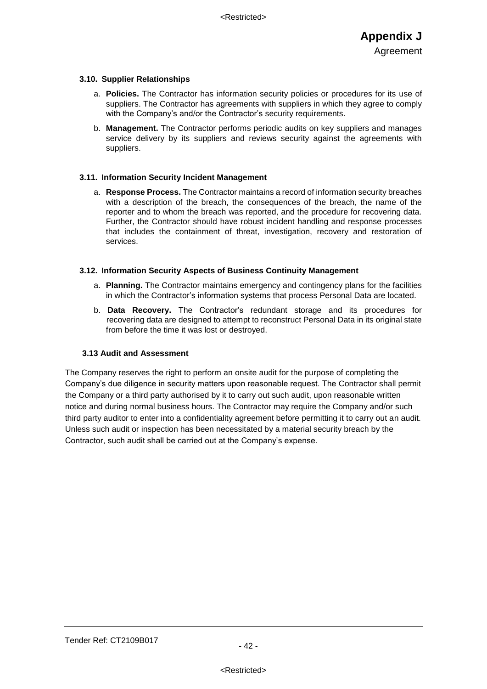## **3.10. Supplier Relationships**

- a. **Policies.** The Contractor has information security policies or procedures for its use of suppliers. The Contractor has agreements with suppliers in which they agree to comply with the Company's and/or the Contractor's security requirements.
- b. **Management.** The Contractor performs periodic audits on key suppliers and manages service delivery by its suppliers and reviews security against the agreements with suppliers.

#### **3.11. Information Security Incident Management**

a. **Response Process.** The Contractor maintains a record of information security breaches with a description of the breach, the consequences of the breach, the name of the reporter and to whom the breach was reported, and the procedure for recovering data. Further, the Contractor should have robust incident handling and response processes that includes the containment of threat, investigation, recovery and restoration of services.

#### **3.12. Information Security Aspects of Business Continuity Management**

- a. **Planning.** The Contractor maintains emergency and contingency plans for the facilities in which the Contractor's information systems that process Personal Data are located.
- b. **Data Recovery.** The Contractor's redundant storage and its procedures for recovering data are designed to attempt to reconstruct Personal Data in its original state from before the time it was lost or destroyed.

#### **3.13 Audit and Assessment**

The Company reserves the right to perform an onsite audit for the purpose of completing the Company's due diligence in security matters upon reasonable request. The Contractor shall permit the Company or a third party authorised by it to carry out such audit, upon reasonable written notice and during normal business hours. The Contractor may require the Company and/or such third party auditor to enter into a confidentiality agreement before permitting it to carry out an audit. Unless such audit or inspection has been necessitated by a material security breach by the Contractor, such audit shall be carried out at the Company's expense.